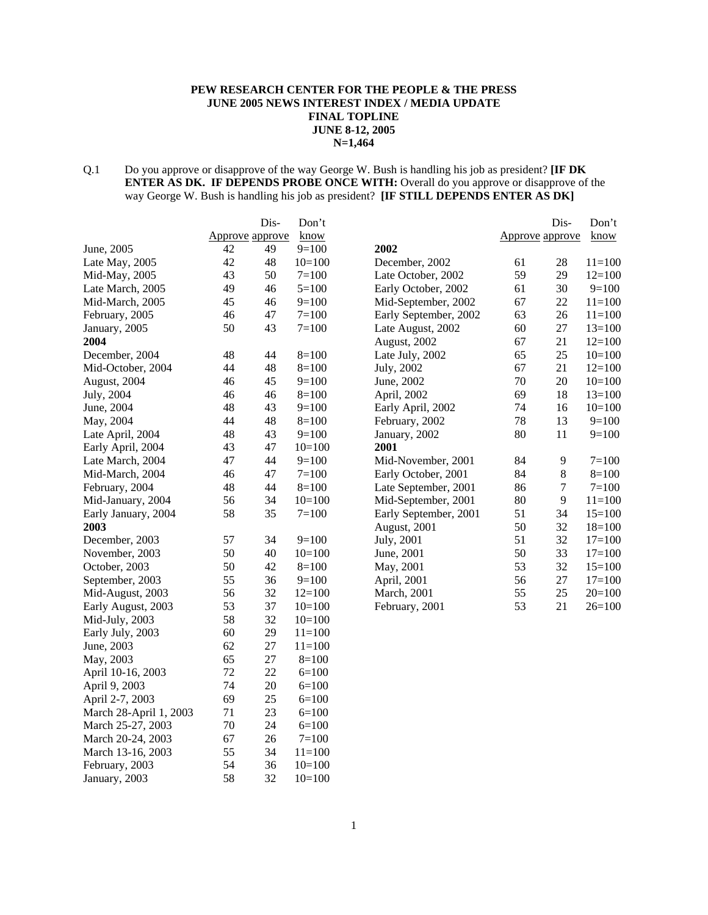#### **PEW RESEARCH CENTER FOR THE PEOPLE & THE PRESS JUNE 2005 NEWS INTEREST INDEX / MEDIA UPDATE FINAL TOPLINE JUNE 8-12, 2005 N=1,464**

#### Q.1 Do you approve or disapprove of the way George W. Bush is handling his job as president? **[IF DK ENTER AS DK. IF DEPENDS PROBE ONCE WITH:** Overall do you approve or disapprove of the way George W. Bush is handling his job as president? **[IF STILL DEPENDS ENTER AS DK]**

|                        |                 | Dis- | Don't      |                       |                 | Dis-             | Don't      |
|------------------------|-----------------|------|------------|-----------------------|-----------------|------------------|------------|
|                        | Approve approve |      | know       |                       | Approve approve |                  | know       |
| June, 2005             | 42              | 49   | $9=100$    | 2002                  |                 |                  |            |
| Late May, 2005         | 42              | 48   | $10=100$   | December, 2002        | 61              | 28               | $11 = 100$ |
| Mid-May, 2005          | 43              | 50   | $7 = 100$  | Late October, 2002    | 59              | 29               | $12=100$   |
| Late March, 2005       | 49              | 46   | $5=100$    | Early October, 2002   | 61              | 30               | $9=100$    |
| Mid-March, 2005        | 45              | 46   | $9=100$    | Mid-September, 2002   | 67              | 22               | $11 = 100$ |
| February, 2005         | 46              | 47   | $7 = 100$  | Early September, 2002 | 63              | 26               | $11 = 100$ |
| January, 2005          | 50              | 43   | $7 = 100$  | Late August, 2002     | 60              | 27               | $13=100$   |
| 2004                   |                 |      |            | August, 2002          | 67              | 21               | $12=100$   |
| December, 2004         | 48              | 44   | $8=100$    | Late July, 2002       | 65              | 25               | $10=100$   |
| Mid-October, 2004      | 44              | 48   | $8=100$    | July, 2002            | 67              | 21               | $12=100$   |
| August, 2004           | 46              | 45   | $9=100$    | June, 2002            | 70              | 20               | $10=100$   |
| July, 2004             | 46              | 46   | $8=100$    | April, 2002           | 69              | 18               | $13=100$   |
| June, 2004             | 48              | 43   | $9=100$    | Early April, 2002     | 74              | 16               | $10=100$   |
| May, 2004              | 44              | 48   | $8=100$    | February, 2002        | 78              | 13               | $9=100$    |
| Late April, 2004       | 48              | 43   | $9=100$    | January, 2002         | 80              | 11               | $9=100$    |
| Early April, 2004      | 43              | 47   | $10=100$   | 2001                  |                 |                  |            |
| Late March, 2004       | 47              | 44   | $9=100$    | Mid-November, 2001    | 84              | 9                | $7 = 100$  |
| Mid-March, 2004        | 46              | 47   | $7 = 100$  | Early October, 2001   | 84              | $\,8\,$          | $8=100$    |
| February, 2004         | 48              | 44   | $8=100$    | Late September, 2001  | 86              | $\boldsymbol{7}$ | $7=100$    |
| Mid-January, 2004      | 56              | 34   | $10=100$   | Mid-September, 2001   | 80              | 9                | $11 = 100$ |
| Early January, 2004    | 58              | 35   | $7 = 100$  | Early September, 2001 | 51              | 34               | $15=100$   |
| <b>2003</b>            |                 |      |            | August, 2001          | 50              | 32               | $18=100$   |
| December, 2003         | 57              | 34   | $9=100$    | July, 2001            | 51              | 32               | $17=100$   |
| November, 2003         | 50              | 40   | $10=100$   | June, 2001            | 50              | 33               | $17=100$   |
| October, 2003          | 50              | 42   | $8=100$    | May, 2001             | 53              | 32               | $15=100$   |
| September, 2003        | 55              | 36   | $9=100$    | April, 2001           | 56              | 27               | $17=100$   |
| Mid-August, 2003       | 56              | 32   | $12=100$   | <b>March</b> , 2001   | 55              | 25               | $20=100$   |
| Early August, 2003     | 53              | 37   | $10=100$   | February, 2001        | 53              | 21               | $26=100$   |
| Mid-July, 2003         | 58              | 32   | $10=100$   |                       |                 |                  |            |
| Early July, 2003       | 60              | 29   | $11 = 100$ |                       |                 |                  |            |
| June, 2003             | 62              | 27   | $11 = 100$ |                       |                 |                  |            |
| May, 2003              | 65              | 27   | $8=100$    |                       |                 |                  |            |
| April 10-16, 2003      | 72              | 22   | $6=100$    |                       |                 |                  |            |
| April 9, 2003          | 74              | 20   | $6=100$    |                       |                 |                  |            |
| April 2-7, 2003        | 69              | 25   | $6=100$    |                       |                 |                  |            |
| March 28-April 1, 2003 | 71              | 23   | $6=100$    |                       |                 |                  |            |
| March 25-27, 2003      | 70              | 24   | $6=100$    |                       |                 |                  |            |
| March 20-24, 2003      | 67              | 26   | $7 = 100$  |                       |                 |                  |            |
| March 13-16, 2003      | 55              | 34   | $11=100$   |                       |                 |                  |            |
| February, 2003         | 54              | 36   | $10=100$   |                       |                 |                  |            |
| January, 2003          | 58              | 32   | $10=100$   |                       |                 |                  |            |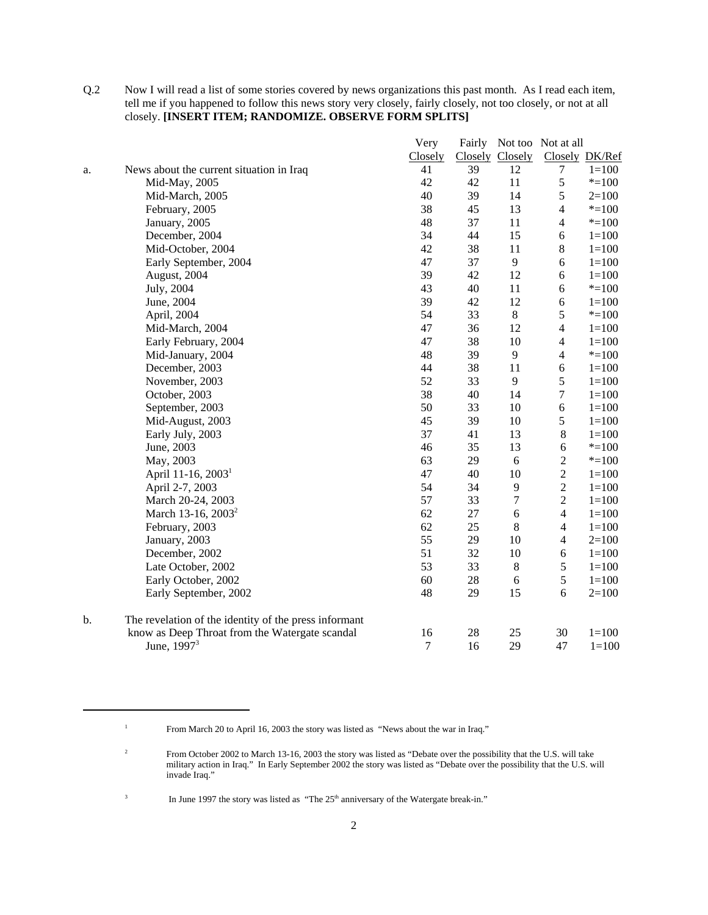Q.2 Now I will read a list of some stories covered by news organizations this past month. As I read each item, tell me if you happened to follow this news story very closely, fairly closely, not too closely, or not at all closely. **[INSERT ITEM; RANDOMIZE. OBSERVE FORM SPLITS]**

|    |                                                       | Very             |    |                 | Fairly Not too Not at all |           |
|----|-------------------------------------------------------|------------------|----|-----------------|---------------------------|-----------|
|    |                                                       | Closely          |    | Closely Closely | Closely DK/Ref            |           |
| a. | News about the current situation in Iraq              | 41               | 39 | 12              | $\tau$                    | $1 = 100$ |
|    | Mid-May, 2005                                         | 42               | 42 | 11              | $\mathfrak s$             | $* = 100$ |
|    | Mid-March, 2005                                       | 40               | 39 | 14              | 5                         | $2=100$   |
|    | February, 2005                                        | 38               | 45 | 13              | $\overline{\mathcal{L}}$  | $* = 100$ |
|    | January, 2005                                         | 48               | 37 | 11              | $\overline{4}$            | $* = 100$ |
|    | December, 2004                                        | 34               | 44 | 15              | $\epsilon$                | $1 = 100$ |
|    | Mid-October, 2004                                     | 42               | 38 | 11              | $8\,$                     | $1 = 100$ |
|    | Early September, 2004                                 | 47               | 37 | $\overline{9}$  | $\sqrt{6}$                | $1 = 100$ |
|    | August, 2004                                          | 39               | 42 | 12              | $\epsilon$                | $1 = 100$ |
|    | July, 2004                                            | 43               | 40 | 11              | 6                         | $* = 100$ |
|    | June, 2004                                            | 39               | 42 | 12              | 6                         | $1 = 100$ |
|    | April, 2004                                           | 54               | 33 | $\,8\,$         | 5                         | $* = 100$ |
|    | Mid-March, 2004                                       | 47               | 36 | 12              | $\overline{\mathcal{L}}$  | $1 = 100$ |
|    | Early February, 2004                                  | 47               | 38 | 10              | $\overline{\mathcal{A}}$  | $1 = 100$ |
|    | Mid-January, 2004                                     | 48               | 39 | 9               | $\overline{\mathcal{L}}$  | $* = 100$ |
|    | December, 2003                                        | 44               | 38 | 11              | $\sqrt{6}$                | $1 = 100$ |
|    | November, 2003                                        | 52               | 33 | 9               | 5                         | $1 = 100$ |
|    | October, 2003                                         | 38               | 40 | 14              | $\boldsymbol{7}$          | $1 = 100$ |
|    | September, 2003                                       | 50               | 33 | 10              | $\epsilon$                | $1 = 100$ |
|    | Mid-August, 2003                                      | 45               | 39 | 10              | 5                         | $1 = 100$ |
|    | Early July, 2003                                      | 37               | 41 | 13              | $\,8\,$                   | $1 = 100$ |
|    | June, 2003                                            | 46               | 35 | 13              | 6                         | $* = 100$ |
|    | May, 2003                                             | 63               | 29 | 6               | $\overline{c}$            | $* = 100$ |
|    | April 11-16, 2003 <sup>1</sup>                        | 47               | 40 | 10              | $\overline{c}$            | $1 = 100$ |
|    | April 2-7, 2003                                       | 54               | 34 | $\overline{9}$  | $\sqrt{2}$                | $1 = 100$ |
|    | March 20-24, 2003                                     | 57               | 33 | $\tau$          | $\sqrt{2}$                | $1 = 100$ |
|    | March 13-16, 2003 <sup>2</sup>                        | 62               | 27 | 6               | $\overline{4}$            | $1 = 100$ |
|    | February, 2003                                        | 62               | 25 | $8\,$           | $\overline{4}$            | $1 = 100$ |
|    | January, 2003                                         | 55               | 29 | $10\,$          | $\overline{4}$            | $2=100$   |
|    | December, 2002                                        | 51               | 32 | 10              | $\sqrt{6}$                | $1 = 100$ |
|    | Late October, 2002                                    | 53               | 33 | $\,8\,$         | 5                         | $1 = 100$ |
|    | Early October, 2002                                   | 60               | 28 | 6               | 5                         | $1 = 100$ |
|    | Early September, 2002                                 | 48               | 29 | 15              | 6                         | $2=100$   |
| b. | The revelation of the identity of the press informant |                  |    |                 |                           |           |
|    | know as Deep Throat from the Watergate scandal        | 16               | 28 | 25              | 30                        | $1 = 100$ |
|    | June, 1997 <sup>3</sup>                               | $\boldsymbol{7}$ | 16 | 29              | 47                        | $1 = 100$ |

<sup>3</sup> In June 1997 the story was listed as "The  $25<sup>th</sup>$  anniversary of the Watergate break-in."

<sup>&</sup>lt;sup>1</sup> From March 20 to April 16, 2003 the story was listed as "News about the war in Iraq."

<sup>&</sup>lt;sup>2</sup> From October 2002 to March 13-16, 2003 the story was listed as "Debate over the possibility that the U.S. will take military action in Iraq." In Early September 2002 the story was listed as "Debate over the possibility that the U.S. will invade Iraq."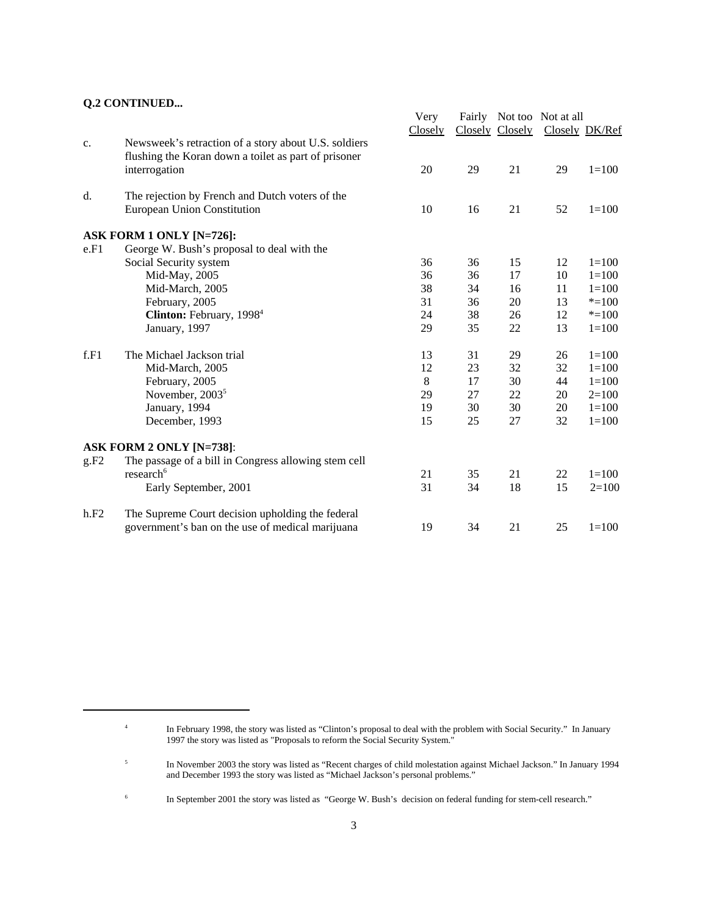#### **Q.2 CONTINUED...**

|      |                                                                                                                               | Very<br>Closely |    | Closely Closely | Fairly Not too Not at all<br>Closely DK/Ref |           |
|------|-------------------------------------------------------------------------------------------------------------------------------|-----------------|----|-----------------|---------------------------------------------|-----------|
| c.   | Newsweek's retraction of a story about U.S. soldiers<br>flushing the Koran down a toilet as part of prisoner<br>interrogation | 20              | 29 | 21              | 29                                          | $1 = 100$ |
| d.   | The rejection by French and Dutch voters of the                                                                               |                 |    |                 |                                             |           |
|      | European Union Constitution                                                                                                   | 10              | 16 | 21              | 52                                          | $1 = 100$ |
|      | ASK FORM 1 ONLY [N=726]:                                                                                                      |                 |    |                 |                                             |           |
| e.F1 | George W. Bush's proposal to deal with the                                                                                    |                 |    |                 |                                             |           |
|      | Social Security system                                                                                                        | 36              | 36 | 15              | 12                                          | $1 = 100$ |
|      | Mid-May, 2005                                                                                                                 | 36              | 36 | 17              | 10                                          | $1 = 100$ |
|      | Mid-March, 2005                                                                                                               | 38              | 34 | 16              | 11                                          | $1 = 100$ |
|      | February, 2005                                                                                                                | 31              | 36 | 20              | 13                                          | $* = 100$ |
|      | Clinton: February, 1998 <sup>4</sup>                                                                                          | 24              | 38 | 26              | 12                                          | $* = 100$ |
|      | January, 1997                                                                                                                 | 29              | 35 | 22              | 13                                          | $1 = 100$ |
| f.F1 | The Michael Jackson trial                                                                                                     | 13              | 31 | 29              | 26                                          | $1 = 100$ |
|      | Mid-March, 2005                                                                                                               | 12              | 23 | 32              | 32                                          | $1 = 100$ |
|      | February, 2005                                                                                                                | 8               | 17 | 30              | 44                                          | $1 = 100$ |
|      | November, 2003 <sup>5</sup>                                                                                                   | 29              | 27 | 22              | 20                                          | $2=100$   |
|      | January, 1994                                                                                                                 | 19              | 30 | 30              | 20                                          | $1 = 100$ |
|      | December, 1993                                                                                                                | 15              | 25 | 27              | 32                                          | $1 = 100$ |
|      | <b>ASK FORM 2 ONLY [N=738]:</b>                                                                                               |                 |    |                 |                                             |           |
| g.F2 | The passage of a bill in Congress allowing stem cell                                                                          |                 |    |                 |                                             |           |
|      | research <sup>6</sup>                                                                                                         | 21              | 35 | 21              | 22                                          | $1 = 100$ |
|      | Early September, 2001                                                                                                         | 31              | 34 | 18              | 15                                          | $2=100$   |
| h.F2 | The Supreme Court decision upholding the federal                                                                              |                 |    |                 |                                             |           |
|      | government's ban on the use of medical marijuana                                                                              | 19              | 34 | 21              | 25                                          | $1 = 100$ |

<sup>4</sup> In February 1998, the story was listed as "Clinton's proposal to deal with the problem with Social Security." In January 1997 the story was listed as "Proposals to reform the Social Security System."

<sup>&</sup>lt;sup>5</sup> In November 2003 the story was listed as "Recent charges of child molestation against Michael Jackson." In January 1994 and December 1993 the story was listed as "Michael Jackson's personal problems."

<sup>&</sup>lt;sup>6</sup> In September 2001 the story was listed as "George W. Bush's decision on federal funding for stem-cell research."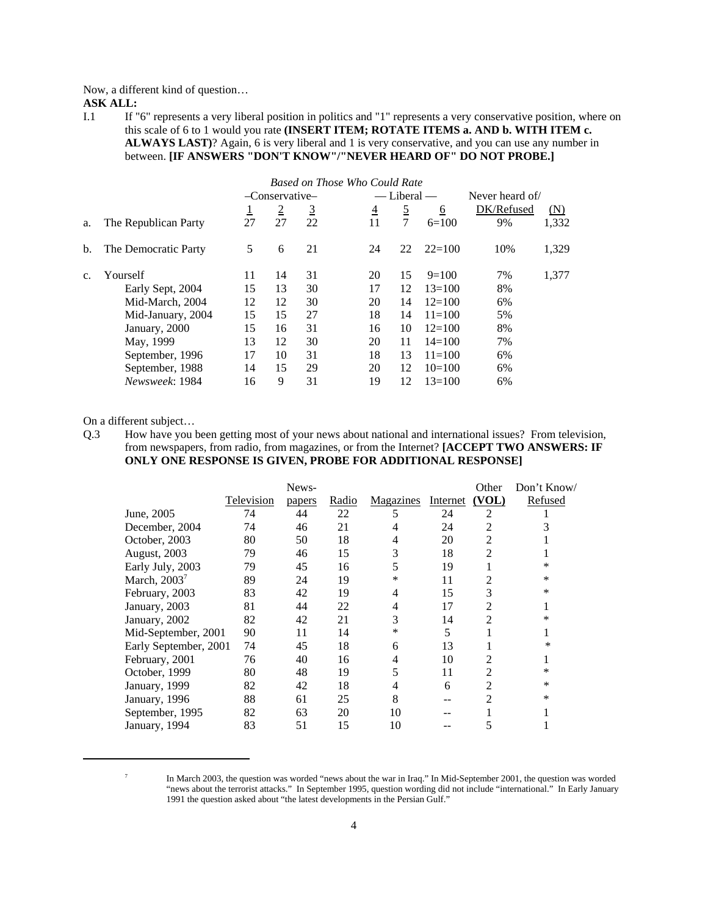Now, a different kind of question…

**ASK ALL:**

I.1 If "6" represents a very liberal position in politics and "1" represents a very conservative position, where on this scale of 6 to 1 would you rate **(INSERT ITEM; ROTATE ITEMS a. AND b. WITH ITEM c. ALWAYS LAST)**? Again, 6 is very liberal and 1 is very conservative, and you can use any number in between. **[IF ANSWERS "DON'T KNOW"/"NEVER HEARD OF" DO NOT PROBE.]**

|                |                      | Based on Those Who Could Rate |                |                |                |                 |            |                 |       |  |  |  |
|----------------|----------------------|-------------------------------|----------------|----------------|----------------|-----------------|------------|-----------------|-------|--|--|--|
|                |                      |                               | -Conservative- |                |                | $-$ Liberal $-$ |            | Never heard of/ |       |  |  |  |
|                |                      | ⊥                             | $\overline{2}$ | $\overline{3}$ | $\overline{4}$ | $\overline{2}$  | <u>6</u>   | DK/Refused      | (N)   |  |  |  |
| a.             | The Republican Party | 27                            | 27             | 22             | 11             | $\tau$          | $6=100$    | 9%              | 1,332 |  |  |  |
| b.             | The Democratic Party | 5                             | 6              | 21             | 24             | 22              | $22=100$   | 10%             | 1,329 |  |  |  |
| $\mathbf{c}$ . | Yourself             | 11                            | 14             | 31             | 20             | 15              | $9=100$    | 7%              | 1,377 |  |  |  |
|                | Early Sept, 2004     | 15                            | 13             | 30             | 17             | 12              | $13=100$   | 8%              |       |  |  |  |
|                | Mid-March, 2004      | 12                            | 12             | 30             | 20             | 14              | $12=100$   | 6%              |       |  |  |  |
|                | Mid-January, 2004    | 15                            | 15             | 27             | 18             | 14              | $11 = 100$ | 5%              |       |  |  |  |
|                | January, 2000        | 15                            | 16             | 31             | 16             | 10              | $12=100$   | 8%              |       |  |  |  |
|                | May, 1999            | 13                            | 12             | 30             | 20             | 11              | $14 = 100$ | 7%              |       |  |  |  |
|                | September, 1996      | 17                            | 10             | 31             | 18             | 13              | $11 = 100$ | 6%              |       |  |  |  |
|                | September, 1988      | 14                            | 15             | 29             | 20             | 12              | $10=100$   | 6%              |       |  |  |  |
|                | Newsweek: 1984       | 16                            | 9              | 31             | 19             | 12              | $13=100$   | 6%              |       |  |  |  |

On a different subject…

Q.3 How have you been getting most of your news about national and international issues? From television, from newspapers, from radio, from magazines, or from the Internet? **[ACCEPT TWO ANSWERS: IF ONLY ONE RESPONSE IS GIVEN, PROBE FOR ADDITIONAL RESPONSE]**

|                       |            | News-  |       |                  |          | Other          | Don't Know/ |
|-----------------------|------------|--------|-------|------------------|----------|----------------|-------------|
|                       | Television | papers | Radio | <b>Magazines</b> | Internet | (VOL)          | Refused     |
| June, 2005            | 74         | 44     | 22    | 5                | 24       | 2              |             |
| December, 2004        | 74         | 46     | 21    | 4                | 24       | 2              |             |
| October, 2003         | 80         | 50     | 18    | 4                | 20       | 2              |             |
| August, 2003          | 79         | 46     | 15    | 3                | 18       | 2              |             |
| Early July, 2003      | 79         | 45     | 16    | 5                | 19       |                | *           |
| March, $2003^7$       | 89         | 24     | 19    | *                | 11       | 2              | $\ast$      |
| February, 2003        | 83         | 42     | 19    | 4                | 15       | 3              | *           |
| January, 2003         | 81         | 44     | 22    | 4                | 17       | 2              |             |
| January, 2002         | 82         | 42     | 21    | 3                | 14       | $\overline{c}$ | *           |
| Mid-September, 2001   | 90         | 11     | 14    | *                | 5        |                |             |
| Early September, 2001 | 74         | 45     | 18    | 6                | 13       |                | *           |
| February, 2001        | 76         | 40     | 16    | 4                | 10       | 2              |             |
| October, 1999         | 80         | 48     | 19    | 5                | 11       | 2              | *           |
| January, 1999         | 82         | 42     | 18    | 4                | 6        | $\overline{c}$ | *           |
| January, 1996         | 88         | 61     | 25    | 8                | --       | 2              | $\ast$      |
| September, 1995       | 82         | 63     | 20    | 10               |          |                |             |
| January, 1994         | 83         | 51     | 15    | 10               |          |                |             |

<sup>&</sup>lt;sup>7</sup> In March 2003, the question was worded "news about the war in Iraq." In Mid-September 2001, the question was worded "news about the terrorist attacks." In September 1995, question wording did not include "international." In Early January 1991 the question asked about "the latest developments in the Persian Gulf."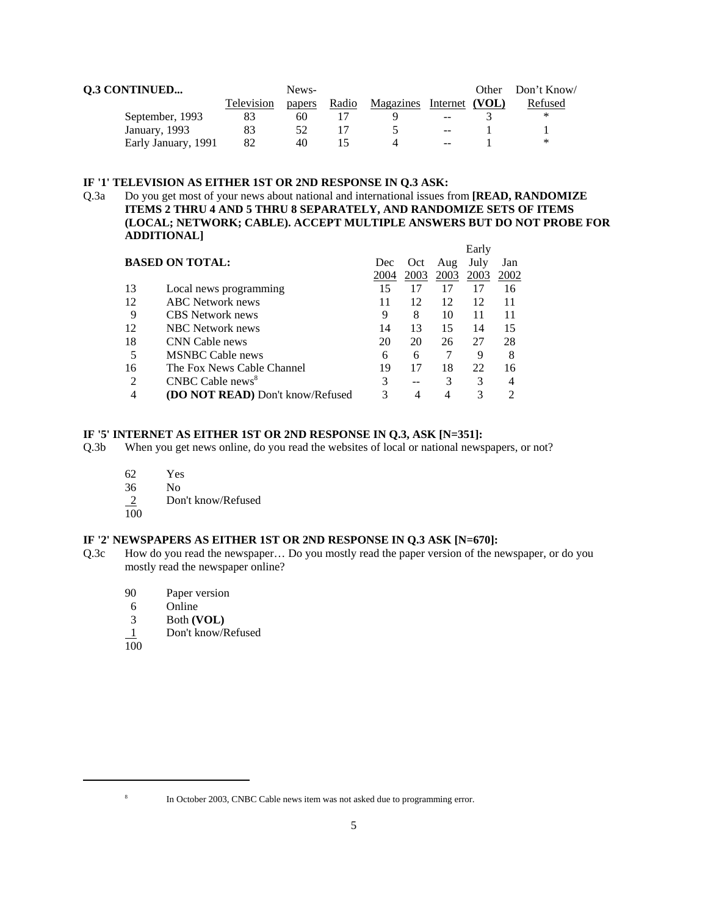| <b>Q.3 CONTINUED</b> |            | News-  |       |                          |      | Other Don't Know/ |
|----------------------|------------|--------|-------|--------------------------|------|-------------------|
|                      | Television | papers | Radio | Magazines Internet (VOL) |      | Refused           |
| September, 1993      | 83         | 60     |       |                          | $-1$ | ∗                 |
| January, 1993        |            |        |       |                          | $-1$ |                   |
| Early January, 1991  | 82         | 40     |       |                          | --   | ∗                 |

#### **IF '1' TELEVISION AS EITHER 1ST OR 2ND RESPONSE IN Q.3 ASK:**

Q.3a Do you get most of your news about national and international issues from **[READ, RANDOMIZE ITEMS 2 THRU 4 AND 5 THRU 8 SEPARATELY, AND RANDOMIZE SETS OF ITEMS (LOCAL; NETWORK; CABLE). ACCEPT MULTIPLE ANSWERS BUT DO NOT PROBE FOR ADDITIONAL]**   $\mathbf{E}$ .  $\mathbf{A}$ 

|                             |                                         |      |            |      | Early |      |
|-----------------------------|-----------------------------------------|------|------------|------|-------|------|
|                             | <b>BASED ON TOTAL:</b>                  | Dec  | <b>Oct</b> | Aug  | July  | Jan  |
|                             |                                         | 2004 | 2003       | 2003 | 2003  | 2002 |
| 13                          | Local news programming                  | 15   |            | 17   | 17    | 16   |
| 12                          | <b>ABC</b> Network news                 |      | 12         | 12   | 12    | 11   |
| 9                           | <b>CBS</b> Network news                 | 9    | 8          | 10   | 11    | 11   |
| 12                          | <b>NBC</b> Network news                 | 14   | 13         | 15   | 14    | 15   |
| 18                          | CNN Cable news                          | 20   | 20         | 26   | 27    | 28   |
| 5                           | <b>MSNBC</b> Cable news                 | 6    | 6          |      | 9     | 8    |
| 16                          | The Fox News Cable Channel              | 19   | 17         | 18   | 22    | 16   |
| $\mathcal{D}_{\mathcal{L}}$ | CNBC Cable news <sup>8</sup>            |      |            |      | 3     |      |
| 4                           | <b>(DO NOT READ)</b> Don't know/Refused |      | 4          |      |       |      |
|                             |                                         |      |            |      |       |      |

#### **IF '5' INTERNET AS EITHER 1ST OR 2ND RESPONSE IN Q.3, ASK [N=351]:**

- Q.3b When you get news online, do you read the websites of local or national newspapers, or not?
	- 62 Yes
	- 36 No
	- Don't know/Refused  $\frac{2}{100}$
	-

#### **IF '2' NEWSPAPERS AS EITHER 1ST OR 2ND RESPONSE IN Q.3 ASK [N=670]:**

- Q.3c How do you read the newspaper… Do you mostly read the paper version of the newspaper, or do you mostly read the newspaper online?
	- 90 Paper version
	- 6 Online
	- 3 Both **(VOL)**
	- 1 Don't know/Refused
	- 100

<sup>&</sup>lt;sup>8</sup> In October 2003, CNBC Cable news item was not asked due to programming error.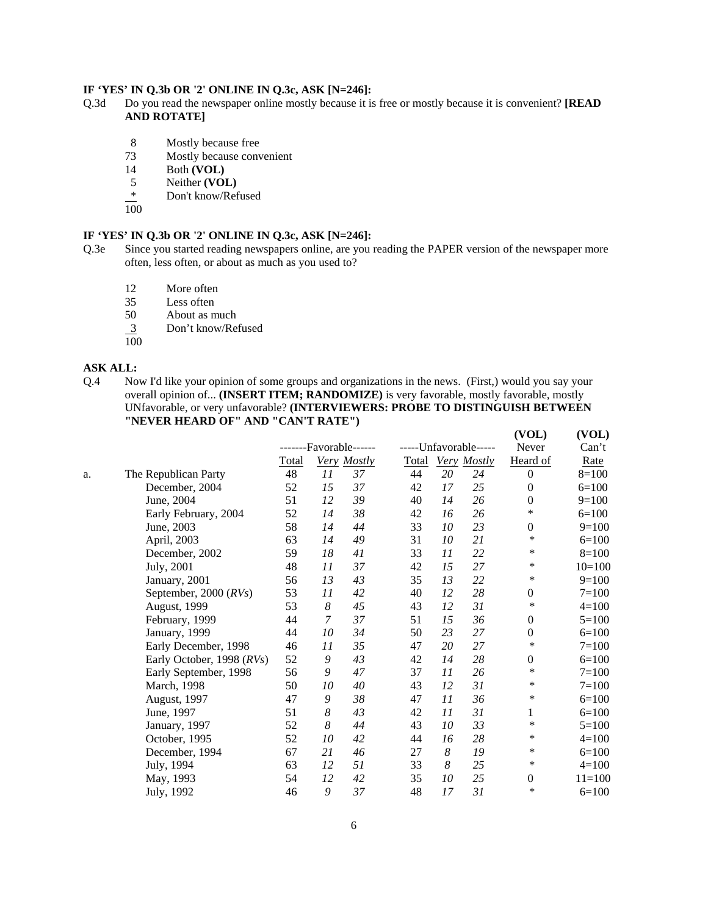#### **IF 'YES' IN Q.3b OR '2' ONLINE IN Q.3c, ASK [N=246]:**

- Q.3d Do you read the newspaper online mostly because it is free or mostly because it is convenient? **[READ AND ROTATE]**
	- 8 Mostly because free
	- 73 Mostly because convenient
	- 14 Both **(VOL)**
	- 5 Neither **(VOL)**
	- \* Don't know/Refused
	- 100

#### **IF 'YES' IN Q.3b OR '2' ONLINE IN Q.3c, ASK [N=246]:**

- Q.3e Since you started reading newspapers online, are you reading the PAPER version of the newspaper more often, less often, or about as much as you used to?
	- 12 More often
	- 35 Less often
	- 50 About as much
	- 3 Don't know/Refused  $\frac{3}{100}$
	-

#### **ASK ALL:**

Q.4 Now I'd like your opinion of some groups and organizations in the news. (First,) would you say your overall opinion of... **(INSERT ITEM; RANDOMIZE)** is very favorable, mostly favorable, mostly UNfavorable, or very unfavorable? **(INTERVIEWERS: PROBE TO DISTINGUISH BETWEEN "NEVER HEARD OF" AND "CAN'T RATE")** 

**(VOL) (VOL)**

|    |                           |       |                  | -------Favorable------ |              |    | -----Unfavorable----- | Never            | Can't      |
|----|---------------------------|-------|------------------|------------------------|--------------|----|-----------------------|------------------|------------|
|    |                           | Total |                  | Very Mostly            | <b>Total</b> |    | Very Mostly           | Heard of         | Rate       |
| a. | The Republican Party      | 48    | 11               | 37                     | 44           | 20 | 24                    | $\theta$         | $8=100$    |
|    | December, 2004            | 52    | 15               | 37                     | 42           | 17 | 25                    | $\Omega$         | $6=100$    |
|    | June, 2004                | 51    | 12               | 39                     | 40           | 14 | 26                    | $\mathbf{0}$     | $9=100$    |
|    | Early February, 2004      | 52    | 14               | 38                     | 42           | 16 | 26                    | *                | $6=100$    |
|    | June, 2003                | 58    | 14               | 44                     | 33           | 10 | 23                    | $\boldsymbol{0}$ | $9=100$    |
|    | April, 2003               | 63    | 14               | 49                     | 31           | 10 | 21                    | $\ast$           | $6=100$    |
|    | December, 2002            | 59    | 18               | 41                     | 33           | 11 | 22                    | *                | $8=100$    |
|    | July, 2001                | 48    | 11               | 37                     | 42           | 15 | 27                    | $\ast$           | $10=100$   |
|    | January, 2001             | 56    | 13               | 43                     | 35           | 13 | 22                    | $\ast$           | $9=100$    |
|    | September, 2000 $(RVs)$   | 53    | 11               | 42                     | 40           | 12 | 28                    | $\mathbf{0}$     | $7 = 100$  |
|    | August, 1999              | 53    | $\boldsymbol{8}$ | 45                     | 43           | 12 | 31                    | ∗                | $4 = 100$  |
|    | February, 1999            | 44    | 7                | 37                     | 51           | 15 | 36                    | $\mathbf{0}$     | $5=100$    |
|    | January, 1999             | 44    | 10               | 34                     | 50           | 23 | 27                    | $\mathbf{0}$     | $6=100$    |
|    | Early December, 1998      | 46    | 11               | 35                     | 47           | 20 | 27                    | *                | $7 = 100$  |
|    | Early October, 1998 (RVs) | 52    | 9                | 43                     | 42           | 14 | 28                    | $\boldsymbol{0}$ | $6=100$    |
|    | Early September, 1998     | 56    | 9                | 47                     | 37           | 11 | 26                    | *                | $7 = 100$  |
|    | March, 1998               | 50    | 10               | 40                     | 43           | 12 | 31                    | $\ast$           | $7 = 100$  |
|    | <b>August, 1997</b>       | 47    | 9                | 38                     | 47           | 11 | 36                    | $\ast$           | $6=100$    |
|    | June, 1997                | 51    | 8                | 43                     | 42           | 11 | 31                    | 1                | $6=100$    |
|    | January, 1997             | 52    | 8                | 44                     | 43           | 10 | 33                    | $\ast$           | $5=100$    |
|    | October, 1995             | 52    | 10               | 42                     | 44           | 16 | 28                    | $\ast$           | $4 = 100$  |
|    | December, 1994            | 67    | 21               | 46                     | 27           | 8  | 19                    | $\ast$           | $6=100$    |
|    | July, 1994                | 63    | 12               | 51                     | 33           | 8  | 25                    | $\ast$           | $4=100$    |
|    | May, 1993                 | 54    | 12               | 42                     | 35           | 10 | 25                    | $\mathbf{0}$     | $11 = 100$ |
|    | July, 1992                | 46    | 9                | 37                     | 48           | 17 | 31                    | *                | $6=100$    |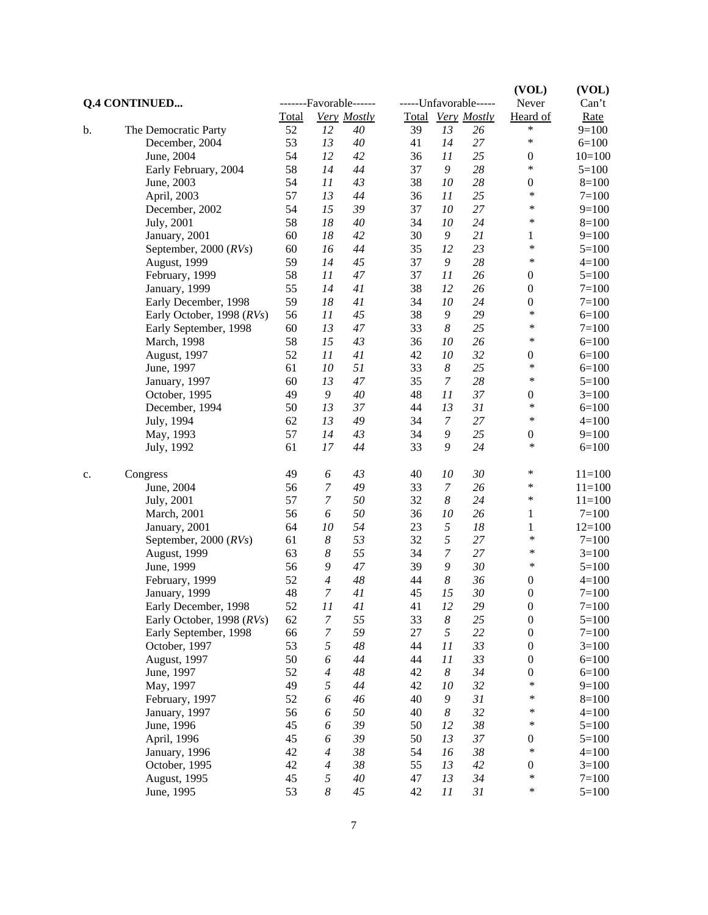|    | <b>Q.4 CONTINUED</b>      |       |                          | -------Favorable------ |        |                  | -----Unfavorable----- | (VOL)<br>Never   | (VOL)<br>Can't |
|----|---------------------------|-------|--------------------------|------------------------|--------|------------------|-----------------------|------------------|----------------|
|    |                           | Total |                          | Very Mostly            |        |                  | Total Very Mostly     | Heard of         | Rate           |
| b. | The Democratic Party      | 52    | 12                       | 40                     | 39     | 13               | 26                    | $\ast$           | $9=100$        |
|    | December, 2004            | 53    | 13                       | 40                     | 41     | 14               | 27                    | $\ast$           | $6=100$        |
|    | June, 2004                | 54    | 12                       | 42                     | 36     | 11               | 25                    | $\boldsymbol{0}$ | $10=100$       |
|    | Early February, 2004      | 58    | 14                       | 44                     | 37     | 9                | 28                    | $\ast$           | $5=100$        |
|    | June, 2003                | 54    | 11                       | 43                     | 38     | 10               | 28                    | $\boldsymbol{0}$ | $8=100$        |
|    | April, 2003               | 57    | 13                       | 44                     | 36     | 11               | 25                    | ∗                | $7 = 100$      |
|    | December, 2002            | 54    | 15                       | 39                     | 37     | 10               | 27                    | ∗                | $9=100$        |
|    | July, 2001                | 58    | 18                       | 40                     | 34     | 10               | 24                    | *                | $8=100$        |
|    | January, 2001             | 60    | 18                       | 42                     | 30     | 9                | 21                    | 1                | $9=100$        |
|    | September, 2000 $(RVs)$   | 60    | 16                       | 44                     | 35     | 12               | 23                    | $\ast$           | $5=100$        |
|    | <b>August</b> , 1999      | 59    | 14                       | 45                     | 37     | 9                | 28                    | $\ast$           | $4 = 100$      |
|    | February, 1999            | 58    | 11                       | 47                     | 37     | 11               | 26                    | $\boldsymbol{0}$ | $5=100$        |
|    | January, 1999             | 55    | 14                       | 41                     | 38     | 12               | 26                    | $\boldsymbol{0}$ | $7 = 100$      |
|    | Early December, 1998      | 59    | $18\,$                   | 41                     | 34     | 10               | 24                    | $\boldsymbol{0}$ | $7 = 100$      |
|    | Early October, 1998 (RVs) | 56    | 11                       | 45                     | 38     | 9                | 29                    | $\ast$           | $6=100$        |
|    | Early September, 1998     | 60    | 13                       | 47                     | 33     | 8                | 25                    | ∗                | $7 = 100$      |
|    | March, 1998               | 58    | 15                       | 43                     | 36     | 10               | 26                    | *                | $6=100$        |
|    | <b>August</b> , 1997      | 52    | 11                       | 41                     | 42     | 10               | 32                    | $\boldsymbol{0}$ | $6=100$        |
|    | June, 1997                | 61    | 10                       | 51                     | 33     | $\boldsymbol{8}$ | 25                    | $\ast$           | $6=100$        |
|    | January, 1997             | 60    | 13                       | 47                     | 35     | 7                | 28                    | *                | $5=100$        |
|    | October, 1995             | 49    | 9                        | 40                     | 48     | 11               | 37                    | $\boldsymbol{0}$ | $3=100$        |
|    | December, 1994            | 50    | 13                       | 37                     | 44     | 13               | 31                    | $\ast$           | $6=100$        |
|    | July, 1994                | 62    | 13                       | 49                     | 34     | $\boldsymbol{7}$ | 27                    | ∗                | $4 = 100$      |
|    | May, 1993                 | 57    | 14                       | 43                     | 34     | 9                | 25                    | $\boldsymbol{0}$ | $9=100$        |
|    | July, 1992                | 61    | 17                       | 44                     | 33     | 9                | 24                    | ∗                | $6=100$        |
| c. | Congress                  | 49    | 6                        | 43                     | 40     | 10               | 30                    | *                | $11 = 100$     |
|    | June, 2004                | 56    | $\boldsymbol{7}$         | 49                     | 33     | $\boldsymbol{7}$ | 26                    | $\ast$           | $11 = 100$     |
|    | July, 2001                | 57    | $\boldsymbol{7}$         | 50                     | 32     | 8                | 24                    | *                | $11 = 100$     |
|    | March, 2001               | 56    | 6                        | 50                     | 36     | 10               | 26                    | 1                | $7 = 100$      |
|    | January, 2001             | 64    | 10                       | 54                     | 23     | 5                | 18                    | 1                | $12=100$       |
|    | September, 2000 (RVs)     | 61    | $\boldsymbol{8}$         | 53                     | 32     | 5                | 27                    | $\ast$           | $7 = 100$      |
|    | August, 1999              | 63    | $\boldsymbol{8}$         | 55                     | 34     | 7                | 27                    | $\ast$           | $3=100$        |
|    | June, 1999                | 56    | 9                        | 47                     | 39     | 9                | 30                    | ∗                | $5=100$        |
|    | February, 1999            | 52    | 4                        | 48                     | 44     | 8                | 36                    | $\boldsymbol{0}$ | $4 = 100$      |
|    | January, 1999             | 48    | $\overline{7}$           | 41                     | 45     | 15               | 30                    | $\mathbf{0}$     | $7 = 100$      |
|    | Early December, 1998      | 52    | 11                       | 41                     | 41     | 12               | 29                    | $\boldsymbol{0}$ | $7 = 100$      |
|    | Early October, 1998 (RVs) | 62    | $\boldsymbol{7}$         | 55                     | 33     | $\boldsymbol{8}$ | $25\,$                | $\boldsymbol{0}$ | $5 = 100$      |
|    | Early September, 1998     | 66    | $\boldsymbol{7}$         | 59                     | $27\,$ | 5                | 22                    | $\boldsymbol{0}$ | $7 = 100$      |
|    | October, 1997             | 53    | 5                        | 48                     | 44     | 11               | 33                    | $\boldsymbol{0}$ | $3 = 100$      |
|    | August, 1997              | 50    | 6                        | 44                     | 44     | 11               | 33                    | $\boldsymbol{0}$ | $6=100$        |
|    | June, 1997                | 52    | $\overline{4}$           | 48                     | 42     | $\boldsymbol{8}$ | 34                    | $\boldsymbol{0}$ | $6=100$        |
|    | May, 1997                 | 49    | 5                        | 44                     | 42     | 10               | 32                    | $\ast$           | $9=100$        |
|    | February, 1997            | 52    | 6                        | 46                     | 40     | $\boldsymbol{9}$ | 31                    | *                | $8=100$        |
|    | January, 1997             | 56    | 6                        | 50                     | 40     | $\boldsymbol{8}$ | 32                    | *                | $4 = 100$      |
|    | June, 1996                | 45    | 6                        | 39                     | 50     | 12               | 38                    | $\ast$           | $5 = 100$      |
|    | April, 1996               | 45    | 6                        | 39                     | 50     | 13               | $37\,$                | $\boldsymbol{0}$ | $5 = 100$      |
|    | January, 1996             | 42    | $\overline{4}$           | 38                     | 54     | 16               | $38\,$                | $\ast$           | $4 = 100$      |
|    | October, 1995             | 42    | $\overline{\mathcal{A}}$ | 38                     | 55     | 13               | $42\,$                | $\boldsymbol{0}$ | $3=100$        |
|    | August, 1995              | 45    | 5                        | $40\,$                 | 47     | 13               | 34                    | $\ast$           | $7 = 100$      |
|    | June, 1995                | 53    | $\boldsymbol{8}$         | 45                     | $42\,$ | 11               | 31                    | $\ast$           | $5 = 100$      |
|    |                           |       |                          |                        |        |                  |                       |                  |                |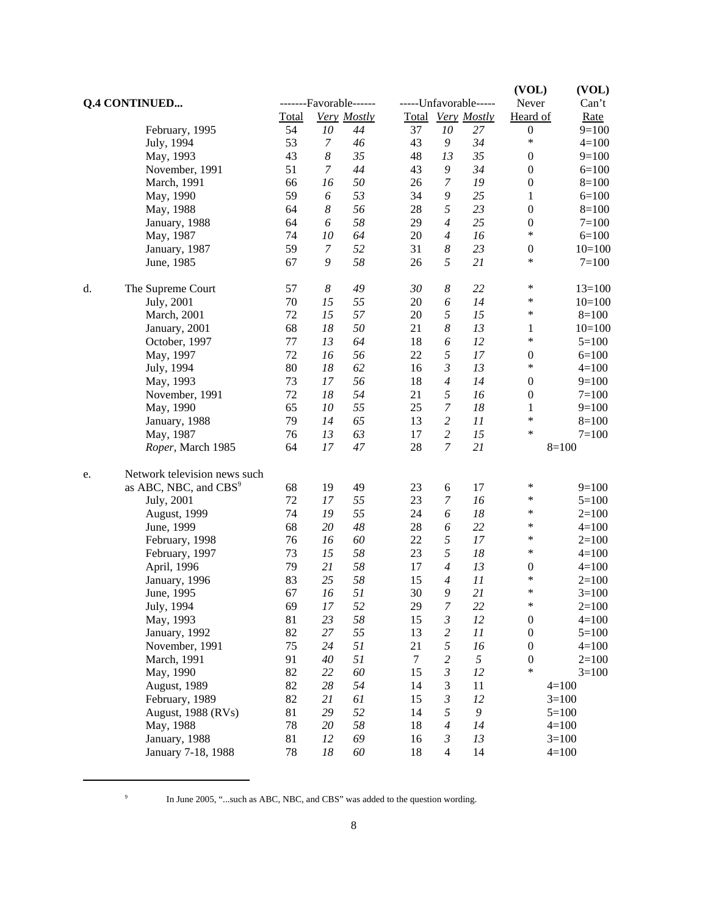|    |                                   |       |                  |                  |        |                     |                       | (VOL)                      | (VOL)       |
|----|-----------------------------------|-------|------------------|------------------|--------|---------------------|-----------------------|----------------------------|-------------|
|    | <b>Q.4 CONTINUED</b>              |       |                  | -Favorable------ |        |                     | -----Unfavorable----- | Never                      | Can't       |
|    |                                   | Total |                  | Very Mostly      |        |                     | Total Very Mostly     | Heard of                   | <b>Rate</b> |
|    | February, 1995                    | 54    | 10               | 44               | 37     | 10                  | 27                    | $\boldsymbol{0}$<br>$\ast$ | $9=100$     |
|    | July, 1994                        | 53    | 7                | 46               | 43     | 9                   | 34                    |                            | $4 = 100$   |
|    | May, 1993                         | 43    | $\boldsymbol{8}$ | 35               | 48     | 13                  | 35                    | $\boldsymbol{0}$           | $9=100$     |
|    | November, 1991                    | 51    | $\overline{7}$   | 44               | 43     | 9                   | 34                    | $\boldsymbol{0}$           | $6=100$     |
|    | March, 1991                       | 66    | 16               | 50               | 26     | $\boldsymbol{7}$    | 19                    | $\boldsymbol{0}$           | $8=100$     |
|    | May, 1990                         | 59    | 6                | 53               | 34     | 9                   | 25                    | $\mathbf{1}$               | $6=100$     |
|    | May, 1988                         | 64    | $\boldsymbol{8}$ | 56               | 28     | 5                   | 23                    | $\boldsymbol{0}$           | $8=100$     |
|    | January, 1988                     | 64    | 6                | 58               | 29     | $\overline{4}$      | 25                    | $\boldsymbol{0}$           | $7 = 100$   |
|    | May, 1987                         | 74    | 10               | 64               | 20     | $\overline{4}$      | 16                    | *                          | $6=100$     |
|    | January, 1987                     | 59    | $\boldsymbol{7}$ | 52               | 31     | 8                   | 23                    | $\boldsymbol{0}$           | $10=100$    |
|    | June, 1985                        | 67    | 9                | 58               | 26     | 5                   | 21                    | $\ast$                     | $7 = 100$   |
| d. | The Supreme Court                 | 57    | $\boldsymbol{8}$ | 49               | 30     | $\boldsymbol{8}$    | 22                    | $\ast$                     | $13 = 100$  |
|    | July, 2001                        | 70    | 15               | 55               | 20     | 6                   | 14                    | $\ast$                     | $10=100$    |
|    | March, 2001                       | 72    | 15               | 57               | 20     | 5                   | 15                    | *                          | $8=100$     |
|    | January, 2001                     | 68    | $18\,$           | 50               | 21     | $\boldsymbol{8}$    | 13                    | $\mathbf{1}$               | $10=100$    |
|    | October, 1997                     | 77    | 13               | 64               | 18     | 6                   | 12                    | $\ast$                     | $5=100$     |
|    | May, 1997                         | 72    | 16               | 56               | 22     | 5                   | 17                    | $\boldsymbol{0}$           | $6=100$     |
|    | July, 1994                        | 80    | 18               | 62               | 16     | 3                   | 13                    | $\ast$                     | $4 = 100$   |
|    | May, 1993                         | 73    | 17               | 56               | 18     | $\overline{4}$      | 14                    | $\boldsymbol{0}$           | $9=100$     |
|    | November, 1991                    | 72    | 18               | 54               | 21     | 5                   | 16                    | $\boldsymbol{0}$           | $7 = 100$   |
|    | May, 1990                         | 65    | 10               | 55               | 25     | 7                   | 18                    | $\mathbf{1}$               | $9=100$     |
|    | January, 1988                     | 79    | 14               | 65               | 13     | $\overline{c}$      | 11                    | $\ast$                     | $8=100$     |
|    | May, 1987                         | 76    | 13               | 63               | 17     | $\overline{c}$      | 15                    | $\ast$                     | $7=100$     |
|    | Roper, March 1985                 | 64    | 17               | 47               | 28     | $\overline{7}$      | 21                    |                            | $8=100$     |
| e. | Network television news such      |       |                  |                  |        |                     |                       |                            |             |
|    | as ABC, NBC, and CBS <sup>9</sup> | 68    | 19               | 49               | 23     | 6                   | 17                    | $\ast$                     | $9=100$     |
|    | July, 2001                        | 72    | 17               | 55               | 23     | $\boldsymbol{7}$    | 16                    | *                          | $5=100$     |
|    | August, 1999                      | 74    | 19               | 55               | 24     | 6                   | 18                    | *                          | $2=100$     |
|    | June, 1999                        | 68    | 20               | 48               | 28     | 6                   | 22                    | *                          | $4=100$     |
|    | February, 1998                    | 76    | 16               | 60               | 22     | 5                   | 17                    | *                          | $2=100$     |
|    | February, 1997                    | 73    | 15               | 58               | 23     | 5                   | 18                    | $\ast$                     | $4=100$     |
|    | April, 1996                       | 79    | 21               | 58               | 17     | $\overline{4}$      | 13                    | $\boldsymbol{0}$           | $4 = 100$   |
|    | January, 1996                     | 83    | 25               | 58               | 15     | $\overline{4}$      | 11                    | *                          | $2=100$     |
|    | June, 1995                        | 67    | 16               | 51               | 30     | 9                   | 21                    | ∗                          | $3=100$     |
|    | July, 1994                        | 69    | 17               | 52               | 29     | 7                   | 22                    | ⋇                          | $2=100$     |
|    | May, 1993                         | 81    | 23               | 58               | 15     | $\mathfrak{Z}$      | 12                    | $\boldsymbol{0}$           | $4 = 100$   |
|    | January, 1992                     | 82    | 27               | 55               | 13     | $\overline{c}$      | $\cal{I} \cal{I}$     | $\boldsymbol{0}$           | $5=100$     |
|    | November, 1991                    | 75    | 24               | 51               | 21     | 5                   | 16                    | $\boldsymbol{0}$           | $4 = 100$   |
|    | March, 1991                       | 91    | 40               | 51               | $\tau$ | $\overline{c}$      | $\sqrt{2}$            | $\boldsymbol{0}$           | $2=100$     |
|    | May, 1990                         | 82    | 22               | 60               | 15     | $\mathfrak{Z}$      | 12                    | *                          | $3=100$     |
|    | August, 1989                      | 82    | 28               | 54               | 14     | $\mathfrak{Z}$      | 11                    |                            | $4 = 100$   |
|    |                                   | 82    |                  |                  |        |                     |                       |                            |             |
|    | February, 1989                    |       | 21               | 61               | 15     | $\mathfrak{Z}$<br>5 | 12                    |                            | $3=100$     |
|    | <b>August, 1988 (RVs)</b>         | 81    | 29               | 52               | 14     |                     | $\boldsymbol{9}$      |                            | $5=100$     |
|    | May, 1988                         | 78    | $20\,$           | 58               | 18     | $\overline{4}$      | 14                    |                            | $4=100$     |
|    | January, 1988                     | 81    | 12               | 69               | 16     | $\mathfrak{Z}$      | 13                    |                            | $3=100$     |
|    | January 7-18, 1988                | 78    | 18               | 60               | 18     | $\overline{4}$      | 14                    |                            | $4 = 100$   |

<sup>&</sup>lt;sup>9</sup> In June 2005, "...such as ABC, NBC, and CBS" was added to the question wording.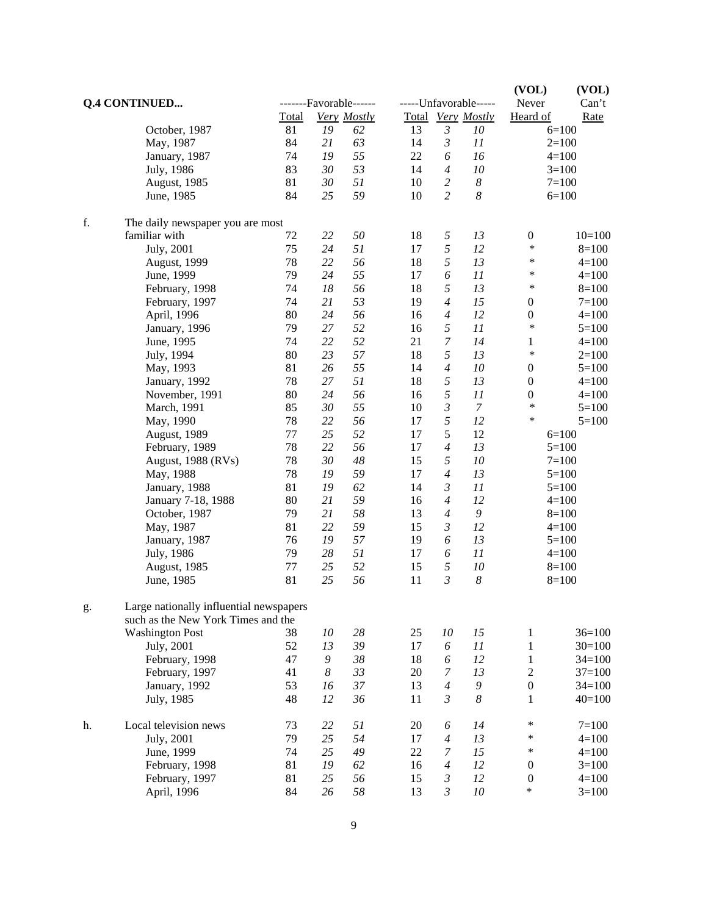|    |                                         |       |                  |                  |    |                  | (VOL)                 | (VOL)            |            |
|----|-----------------------------------------|-------|------------------|------------------|----|------------------|-----------------------|------------------|------------|
|    | <b>Q.4 CONTINUED</b>                    |       |                  | -Favorable------ |    |                  | -----Unfavorable----- | Never            | Can't      |
|    |                                         | Total |                  | Very Mostly      |    |                  | Total Very Mostly     | Heard of         | Rate       |
|    | October, 1987                           | 81    | 19               | 62               | 13 | $\mathfrak{Z}$   | 10                    |                  | $6=100$    |
|    | May, 1987                               | 84    | 21               | 63               | 14 | 3                | 11                    |                  | $2=100$    |
|    | January, 1987                           | 74    | 19               | 55               | 22 | 6                | 16                    |                  | $4 = 100$  |
|    | July, 1986                              | 83    | 30               | 53               | 14 | $\overline{4}$   | 10                    |                  | $3=100$    |
|    | August, 1985                            | 81    | 30               | 51               | 10 | $\overline{c}$   | $\boldsymbol{8}$      |                  | $7 = 100$  |
|    | June, 1985                              | 84    | 25               | 59               | 10 | $\overline{c}$   | 8                     |                  | $6=100$    |
| f. | The daily newspaper you are most        |       |                  |                  |    |                  |                       |                  |            |
|    | familiar with                           | 72    | 22               | 50               | 18 | 5                | 13                    | $\boldsymbol{0}$ | $10=100$   |
|    | July, 2001                              | 75    | 24               | 51               | 17 | 5                | 12                    | $\ast$           | $8=100$    |
|    | August, 1999                            | 78    | 22               | 56               | 18 | 5                | 13                    | $\ast$           | $4=100$    |
|    | June, 1999                              | 79    | 24               | 55               | 17 | 6                | 11                    | $\ast$           | $4 = 100$  |
|    | February, 1998                          | 74    | 18               | 56               | 18 | 5                | 13                    | ∗                | $8=100$    |
|    | February, 1997                          | 74    | 21               | 53               | 19 | $\overline{4}$   | 15                    | $\boldsymbol{0}$ | $7=100$    |
|    | April, 1996                             | 80    | 24               | 56               | 16 | 4                | 12                    | $\boldsymbol{0}$ | $4 = 100$  |
|    | January, 1996                           | 79    | 27               | 52               | 16 | 5                | 11                    | $\ast$           | $5=100$    |
|    | June, 1995                              | 74    | 22               | 52               | 21 | $\boldsymbol{7}$ | 14                    | $\mathbf 1$      | $4 = 100$  |
|    | July, 1994                              | 80    | 23               | 57               | 18 | 5                | 13                    | $\ast$           | $2=100$    |
|    | May, 1993                               | 81    | 26               | 55               | 14 | $\overline{4}$   | 10                    | $\boldsymbol{0}$ | $5=100$    |
|    | January, 1992                           | 78    | 27               | 51               | 18 | 5                | 13                    | $\boldsymbol{0}$ | $4 = 100$  |
|    | November, 1991                          | 80    | 24               | 56               | 16 | 5                | 11                    | $\boldsymbol{0}$ | $4 = 100$  |
|    | March, 1991                             | 85    | 30               | 55               | 10 | $\mathfrak{Z}$   | $\boldsymbol{7}$      | $\ast$           | $5=100$    |
|    | May, 1990                               | 78    | 22               | 56               | 17 | 5                | 12                    | *                | $5 = 100$  |
|    | August, 1989                            | 77    | 25               | 52               | 17 | 5                | 12                    |                  | $6=100$    |
|    | February, 1989                          | 78    | 22               | 56               | 17 | $\overline{4}$   | 13                    |                  | $5=100$    |
|    | August, 1988 (RVs)                      | 78    | 30               | 48               | 15 | 5                | 10                    |                  | $7 = 100$  |
|    | May, 1988                               | 78    | 19               | 59               | 17 | $\overline{4}$   | 13                    |                  | $5=100$    |
|    | January, 1988                           | 81    | 19               | 62               | 14 | $\mathfrak{Z}$   | 11                    |                  | $5=100$    |
|    | January 7-18, 1988                      | 80    | 21               | 59               | 16 | $\overline{4}$   | 12                    |                  | $4 = 100$  |
|    |                                         | 79    | 21               | 58               | 13 | $\overline{4}$   | $\boldsymbol{9}$      |                  |            |
|    | October, 1987                           | 81    | 22               | 59               | 15 | $\mathfrak{Z}$   | 12                    |                  | $8=100$    |
|    | May, 1987                               |       |                  |                  |    |                  |                       |                  | $4 = 100$  |
|    | January, 1987                           | 76    | 19               | 57               | 19 | 6                | 13                    |                  | $5=100$    |
|    | July, 1986                              | 79    | 28               | 51               | 17 | 6                | 11                    |                  | $4 = 100$  |
|    | August, 1985                            | 77    | 25               | 52               | 15 | 5                | 10                    |                  | $8=100$    |
|    | June, 1985                              | 81    | 25               | 56               | 11 | $\mathfrak{Z}$   | $\boldsymbol{8}$      |                  | $8=100$    |
| g. | Large nationally influential newspapers |       |                  |                  |    |                  |                       |                  |            |
|    | such as the New York Times and the      |       |                  |                  |    |                  |                       |                  |            |
|    | <b>Washington Post</b>                  | 38    | $10\,$           | 28               | 25 | $10\,$           | 15                    | $\,1$            | $36=100$   |
|    | July, 2001                              | 52    | 13               | 39               | 17 | 6                | 11                    | $\mathbf 1$      | $30=100$   |
|    | February, 1998                          | 47    | 9                | $38\,$           | 18 | 6                | 12                    | $\mathbf{1}$     | $34=100$   |
|    | February, 1997                          | 41    | $\boldsymbol{8}$ | 33               | 20 | $\boldsymbol{7}$ | 13                    | $\sqrt{2}$       | $37 = 100$ |
|    | January, 1992                           | 53    | 16               | 37               | 13 | $\overline{4}$   | $\boldsymbol{9}$      | $\boldsymbol{0}$ | $34=100$   |
|    | July, 1985                              | 48    | 12               | 36               | 11 | $\mathfrak{Z}$   | $\boldsymbol{8}$      | 1                | $40=100$   |
| h. | Local television news                   | 73    | 22               | 51               | 20 | 6                | 14                    | $\ast$           | $7 = 100$  |
|    | July, 2001                              | 79    | 25               | 54               | 17 | $\overline{4}$   | 13                    | $\ast$           | $4=100$    |
|    | June, 1999                              | 74    | 25               | 49               | 22 | 7                | 15                    | $\ast$           | $4 = 100$  |
|    | February, 1998                          | 81    | 19               | 62               | 16 | $\overline{4}$   | 12                    | $\boldsymbol{0}$ | $3=100$    |
|    | February, 1997                          | 81    | 25               | 56               | 15 | $\mathfrak{Z}$   | 12                    | $\boldsymbol{0}$ | $4=100$    |
|    | April, 1996                             | 84    | 26               | 58               | 13 | $\mathfrak{Z}$   | 10                    | $\ast$           | $3=100$    |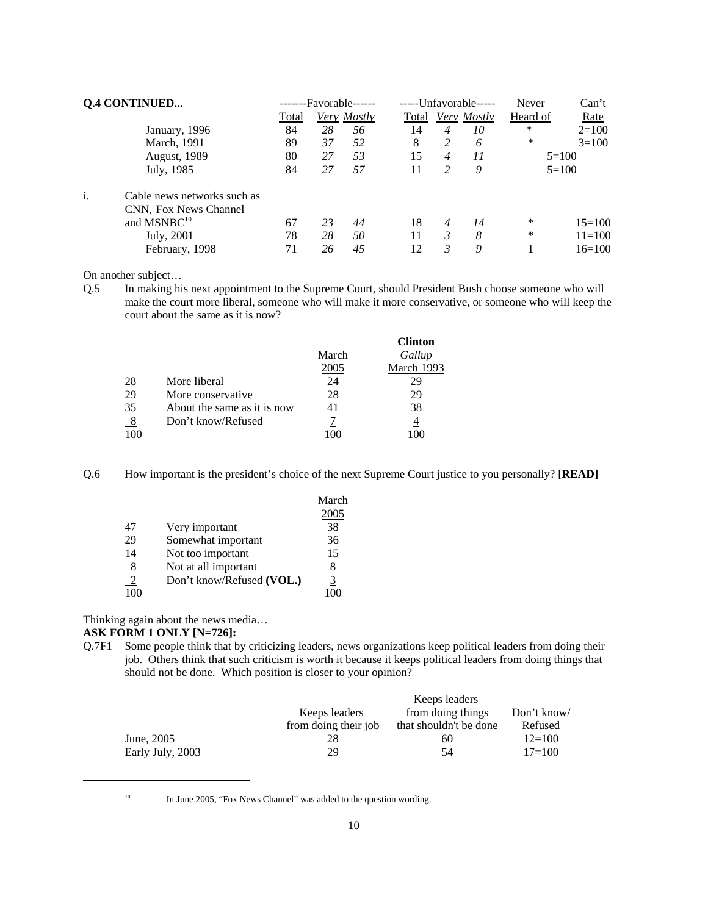|    | <b>Q.4 CONTINUED</b>        |       |    | -Favorable------ |       |                | -----Unfavorable----- | Never    | Can't       |
|----|-----------------------------|-------|----|------------------|-------|----------------|-----------------------|----------|-------------|
|    |                             | Total |    | Very Mostly      | Total |                | Very Mostly           | Heard of | <u>Rate</u> |
|    | January, 1996               | 84    | 28 | 56               | 14    | 4              | 10                    | $\ast$   | $2=100$     |
|    | March, 1991                 | 89    | 37 | 52               | 8     | 2              | 6                     | *        | $3=100$     |
|    | <b>August</b> , 1989        | 80    | 27 | 53               | 15    | $\overline{4}$ | 11                    |          | $5=100$     |
|    | July, 1985                  | 84    | 27 | 57               | 11    | 2              | 9                     |          | $5=100$     |
| i. | Cable news networks such as |       |    |                  |       |                |                       |          |             |
|    | CNN, Fox News Channel       |       |    |                  |       |                |                       |          |             |
|    | and MSNBC <sup>10</sup>     | 67    | 23 | 44               | 18    | 4              | 14                    | *        | $15 = 100$  |
|    | July, 2001                  | 78    | 28 | 50               | 11    | 3              | 8                     | *        | $11 = 100$  |
|    | February, 1998              | 71    | 26 | 45               | 12    | 3              | 9                     |          | $16=100$    |

On another subject…

Q.5 In making his next appointment to the Supreme Court, should President Bush choose someone who will make the court more liberal, someone who will make it more conservative, or someone who will keep the court about the same as it is now?

|               |                             |       | <b>Clinton</b> |
|---------------|-----------------------------|-------|----------------|
|               |                             | March | Gallup         |
|               |                             | 2005  | March 1993     |
| 28            | More liberal                | 24    | 29             |
| 29            | More conservative           | 28    | 29             |
| 35            | About the same as it is now | 41    | 38             |
| $\frac{8}{1}$ | Don't know/Refused          |       | 4              |
| 100           |                             |       | 00             |

Q.6 How important is the president's choice of the next Supreme Court justice to you personally? **[READ]**

|                |                           | March |
|----------------|---------------------------|-------|
|                |                           | 2005  |
| 47             | Very important            | 38    |
| 29             | Somewhat important        | 36    |
| 14             | Not too important         | 15    |
| 8              | Not at all important      | 8     |
| $\overline{2}$ | Don't know/Refused (VOL.) | 3     |
| 100            |                           |       |

Thinking again about the news media…

#### **ASK FORM 1 ONLY [N=726]:**

Q.7F1 Some people think that by criticizing leaders, news organizations keep political leaders from doing their job. Others think that such criticism is worth it because it keeps political leaders from doing things that should not be done. Which position is closer to your opinion?

|                  |                      | Keeps leaders          |             |
|------------------|----------------------|------------------------|-------------|
|                  | Keeps leaders        | from doing things      | Don't know/ |
|                  | from doing their job | that shouldn't be done | Refused     |
| June, 2005       |                      | 60                     | $12=100$    |
| Early July, 2003 | 29                   | 54                     | $17=100$    |

<sup>10</sup> In June 2005, "Fox News Channel" was added to the question wording.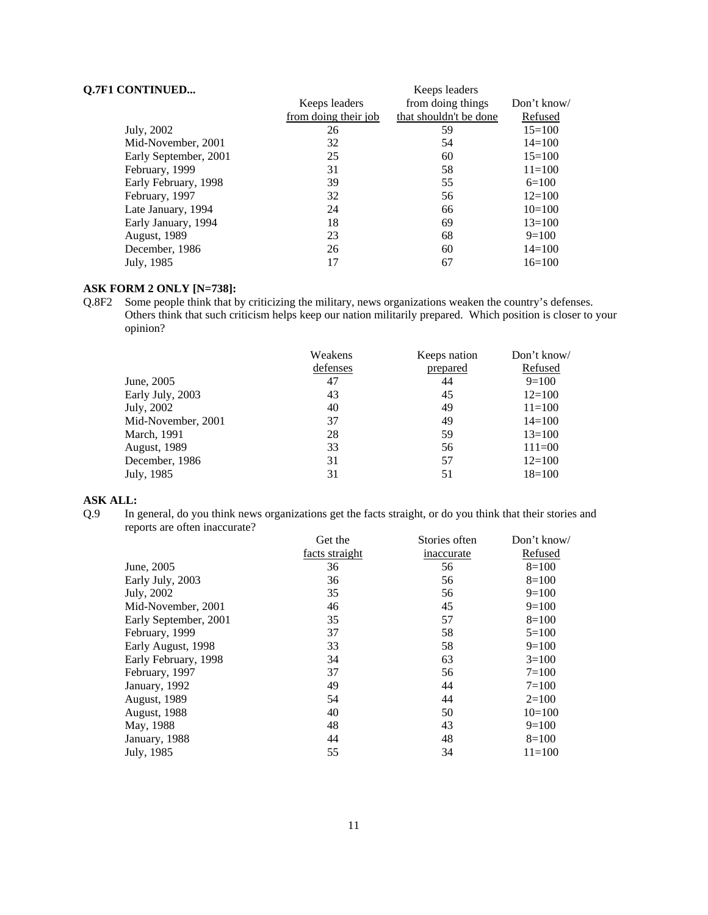### **Q.7F1 CONTINUED...** Keeps leaders

|                       | 110000000000000      |                        |             |  |  |  |
|-----------------------|----------------------|------------------------|-------------|--|--|--|
|                       | Keeps leaders        | from doing things      | Don't know/ |  |  |  |
|                       | from doing their job | that shouldn't be done | Refused     |  |  |  |
| July, 2002            | 26                   | 59                     | $15 = 100$  |  |  |  |
| Mid-November, 2001    | 32                   | 54                     | $14 = 100$  |  |  |  |
| Early September, 2001 | 25                   | 60                     | $15=100$    |  |  |  |
| February, 1999        | 31                   | 58                     | $11 = 100$  |  |  |  |
| Early February, 1998  | 39                   | 55                     | $6=100$     |  |  |  |
| February, 1997        | 32                   | 56                     | $12=100$    |  |  |  |
| Late January, 1994    | 24                   | 66                     | $10=100$    |  |  |  |
| Early January, 1994   | 18                   | 69                     | $13=100$    |  |  |  |
| <b>August</b> , 1989  | 23                   | 68                     | $9=100$     |  |  |  |
| December, 1986        | 26                   | 60                     | $14 = 100$  |  |  |  |
| July, 1985            | 17                   | 67                     | $16=100$    |  |  |  |
|                       |                      |                        |             |  |  |  |

#### **ASK FORM 2 ONLY [N=738]:**

Q.8F2 Some people think that by criticizing the military, news organizations weaken the country's defenses. Others think that such criticism helps keep our nation militarily prepared. Which position is closer to your opinion?

|                     | Weakens  | Keeps nation | Don't know/ |
|---------------------|----------|--------------|-------------|
|                     | defenses | prepared     | Refused     |
| June, 2005          | 47       | 44           | $9=100$     |
| Early July, 2003    | 43       | 45           | $12=100$    |
| July, 2002          | 40       | 49           | $11 = 100$  |
| Mid-November, 2001  | 37       | 49           | $14=100$    |
| March, 1991         | 28       | 59           | $13 = 100$  |
| <b>August, 1989</b> | 33       | 56           | $111=00$    |
| December, 1986      | 31       | 57           | $12 = 100$  |
| July, 1985          | 31       | 51           | $18=100$    |

#### **ASK ALL:**

Q.9 In general, do you think news organizations get the facts straight, or do you think that their stories and reports are often inaccurate?

|                       | Get the        | Stories often | Don't know/ |
|-----------------------|----------------|---------------|-------------|
|                       | facts straight | inaccurate    | Refused     |
| June, 2005            | 36             | 56            | $8=100$     |
| Early July, 2003      | 36             | 56            | $8=100$     |
| July, 2002            | 35             | 56            | $9=100$     |
| Mid-November, 2001    | 46             | 45            | $9=100$     |
| Early September, 2001 | 35             | 57            | $8=100$     |
| February, 1999        | 37             | 58            | $5=100$     |
| Early August, 1998    | 33             | 58            | $9=100$     |
| Early February, 1998  | 34             | 63            | $3=100$     |
| February, 1997        | 37             | 56            | $7 = 100$   |
| January, 1992         | 49             | 44            | $7 = 100$   |
| <b>August, 1989</b>   | 54             | 44            | $2=100$     |
| August, 1988          | 40             | 50            | $10=100$    |
| May, 1988             | 48             | 43            | $9=100$     |
| January, 1988         | 44             | 48            | $8=100$     |
| July, 1985            | 55             | 34            | $11 = 100$  |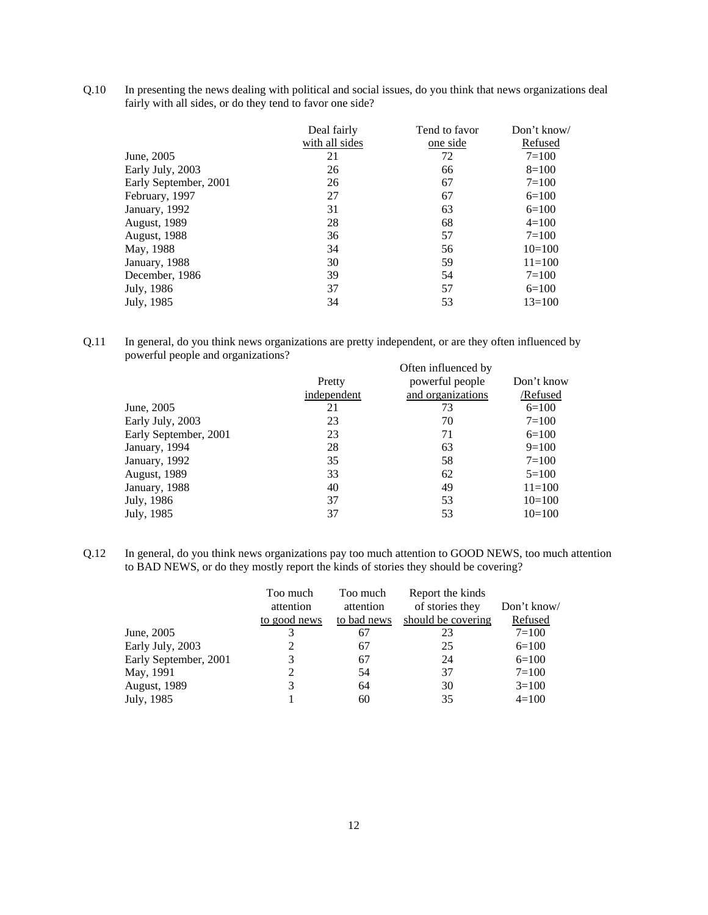Q.10 In presenting the news dealing with political and social issues, do you think that news organizations deal fairly with all sides, or do they tend to favor one side?

|                       | Deal fairly    | Tend to favor | Don't know/ |
|-----------------------|----------------|---------------|-------------|
|                       | with all sides | one side      | Refused     |
| June, 2005            | 21             | 72            | $7 = 100$   |
| Early July, 2003      | 26             | 66            | $8=100$     |
| Early September, 2001 | 26             | 67            | $7 = 100$   |
| February, 1997        | 27             | 67            | $6=100$     |
| January, 1992         | 31             | 63            | $6=100$     |
| <b>August</b> , 1989  | 28             | 68            | $4=100$     |
| <b>August, 1988</b>   | 36             | 57            | $7 = 100$   |
| May, 1988             | 34             | 56            | $10=100$    |
| January, 1988         | 30             | 59            | $11 = 100$  |
| December, 1986        | 39             | 54            | $7 = 100$   |
| July, 1986            | 37             | 57            | $6=100$     |
| July, 1985            | 34             | 53            | $13 = 100$  |

Q.11 In general, do you think news organizations are pretty independent, or are they often influenced by powerful people and organizations? Often influenced by

|                       |             | Often influenced by |            |
|-----------------------|-------------|---------------------|------------|
|                       | Pretty      | powerful people     | Don't know |
|                       | independent | and organizations   | /Refused   |
| June, 2005            | 21          | 73                  | $6=100$    |
| Early July, 2003      | 23          | 70                  | $7 = 100$  |
| Early September, 2001 | 23          | 71                  | $6=100$    |
| January, 1994         | 28          | 63                  | $9=100$    |
| January, 1992         | 35          | 58                  | $7 = 100$  |
| <b>August, 1989</b>   | 33          | 62                  | $5=100$    |
| January, 1988         | 40          | 49                  | $11 = 100$ |
| July, 1986            | 37          | 53                  | $10=100$   |
| July, 1985            | 37          | 53                  | $10=100$   |
|                       |             |                     |            |

Q.12 In general, do you think news organizations pay too much attention to GOOD NEWS, too much attention to BAD NEWS, or do they mostly report the kinds of stories they should be covering?

|                       | Too much     | Too much    | Report the kinds   |             |
|-----------------------|--------------|-------------|--------------------|-------------|
|                       | attention    | attention   | of stories they    | Don't know/ |
|                       | to good news | to bad news | should be covering | Refused     |
| June, 2005            | 3            | 67          | 23                 | $7 = 100$   |
| Early July, 2003      |              | 67          | 25                 | $6=100$     |
| Early September, 2001 | 3            | 67          | 24                 | $6=100$     |
| May, 1991             | 2            | 54          | 37                 | $7 = 100$   |
| <b>August, 1989</b>   | 3            | 64          | 30                 | $3=100$     |
| July, 1985            |              | 60          | 35                 | $4=100$     |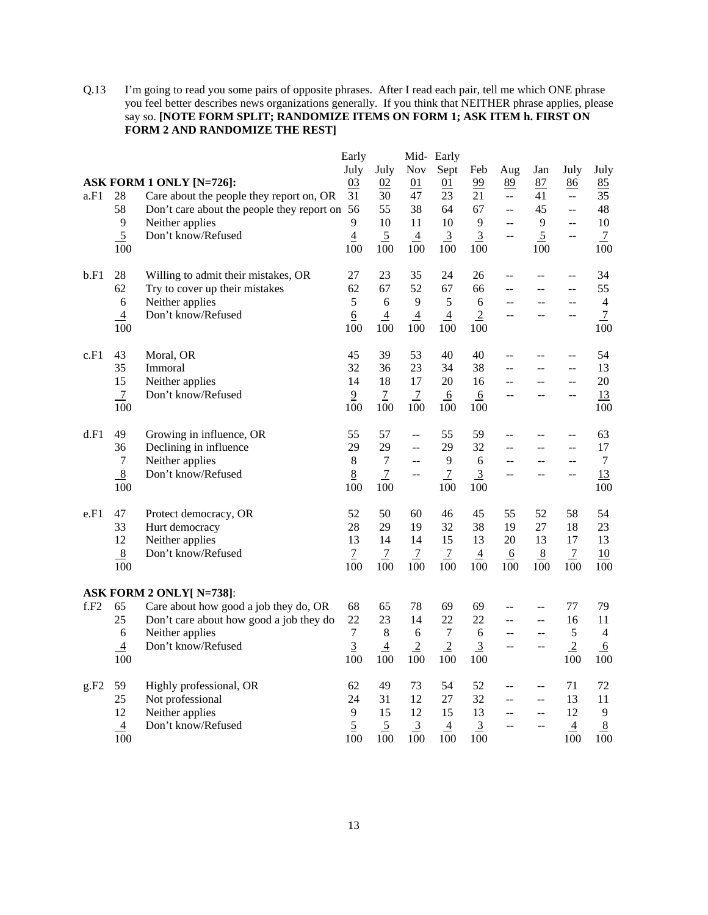Q.13 I'm going to read you some pairs of opposite phrases. After I read each pair, tell me which ONE phrase you feel better describes news organizations generally. If you think that NEITHER phrase applies, please say so. **[NOTE FORM SPLIT; RANDOMIZE ITEMS ON FORM 1; ASK ITEM h. FIRST ON FORM 2 AND RANDOMIZE THE REST]**

|      |                                                 |                                                                                                                           | Early                                                 |                                                       |                                                                     | Mid-Early                                             |                                         |                            |                                        |                                                              |                                                     |
|------|-------------------------------------------------|---------------------------------------------------------------------------------------------------------------------------|-------------------------------------------------------|-------------------------------------------------------|---------------------------------------------------------------------|-------------------------------------------------------|-----------------------------------------|----------------------------|----------------------------------------|--------------------------------------------------------------|-----------------------------------------------------|
|      |                                                 | ASK FORM 1 ONLY [N=726]:                                                                                                  | July<br>03                                            | July<br>02                                            | Nov<br>01                                                           | Sept<br>01                                            | Feb<br>99                               | Aug<br>89                  | Jan<br>87                              | July<br>86                                                   | July<br>85                                          |
| a.F1 | 28<br>58                                        | Care about the people they report on, OR<br>Don't care about the people they report on                                    | 31<br>56                                              | 30<br>55                                              | 47<br>38                                                            | 23<br>64                                              | 21<br>67                                | ΞĒ,<br>$\sim$ $\sim$       | 41<br>45                               | μ.<br>$\mathbb{L}^{\mathbb{L}}$                              | 35<br>48                                            |
|      | 9<br>$\mathfrak{S}$<br>100                      | Neither applies<br>Don't know/Refused                                                                                     | 9<br>$\overline{4}$<br>100                            | 10<br>$\overline{5}$<br>100                           | 11<br>$\overline{4}$<br>100                                         | 10<br>$\overline{3}$<br>100                           | 9<br>$\overline{3}$<br>100              | $\overline{a}$<br>--       | 9<br>$\overline{5}$<br>100             | $\overline{\phantom{a}}$<br>$\overline{a}$                   | 10<br>$\overline{1}$<br>100                         |
| b.F1 | 28<br>62<br>$\sqrt{6}$<br>$\overline{4}$<br>100 | Willing to admit their mistakes, OR<br>Try to cover up their mistakes<br>Neither applies<br>Don't know/Refused            | 27<br>62<br>5<br>$\underline{6}$<br>100               | 23<br>67<br>6<br>$\overline{4}$<br>100                | 35<br>52<br>9<br>$\overline{4}$<br>100                              | 24<br>67<br>5<br>$\overline{4}$<br>100                | 26<br>66<br>6<br>$\overline{2}$<br>100  | --<br>$-$<br>$-$           | $-$                                    | $-$<br>$\overline{a}$<br>--                                  | 34<br>55<br>$\overline{4}$<br>$\overline{1}$<br>100 |
| c.F1 | 43<br>35<br>15<br>$\overline{7}$<br>100         | Moral, OR<br>Immoral<br>Neither applies<br>Don't know/Refused                                                             | 45<br>32<br>14<br>$\overline{9}$<br>100               | 39<br>36<br>18<br>$\overline{7}$<br>100               | 53<br>23<br>17<br>$\overline{1}$<br>100                             | 40<br>34<br>20<br>6<br>100                            | 40<br>38<br>16<br>6<br>100              | --<br>--<br>$-$            | $\overline{a}$                         | $\overline{a}$<br>$\overline{a}$<br>$\overline{\phantom{a}}$ | 54<br>13<br>20<br>13<br>100                         |
| d.F1 | 49<br>36<br>$\tau$<br>$\,8\,$<br>100            | Growing in influence, OR<br>Declining in influence<br>Neither applies<br>Don't know/Refused                               | 55<br>29<br>8<br>$8\overline{8}$<br>100               | 57<br>29<br>$\overline{7}$<br>$\boldsymbol{7}$<br>100 | $\overline{\phantom{a}}$<br>$\mathbb{L}^{\mathbb{L}}$<br>$-$<br>$-$ | 55<br>29<br>9<br>$\overline{7}$<br>100                | 59<br>32<br>6<br>$\overline{3}$<br>100  | $-$<br>--                  | $\sim$ $\sim$                          | $\overline{a}$<br>$\overline{a}$<br>$\overline{a}$           | 63<br>17<br>7<br>13<br>100                          |
| e.F1 | 47<br>33<br>12<br>8<br>100                      | Protect democracy, OR<br>Hurt democracy<br>Neither applies<br>Don't know/Refused                                          | 52<br>28<br>13<br>$\overline{1}$<br>100               | 50<br>29<br>14<br>$\overline{7}$<br>100               | 60<br>19<br>14<br>$\overline{1}$<br>100                             | 46<br>32<br>15<br>$\overline{1}$<br>100               | 45<br>38<br>13<br>$\overline{4}$<br>100 | 55<br>19<br>20<br>6<br>100 | 52<br>27<br>13<br>8<br>100             | 58<br>18<br>17<br>$\overline{7}$<br>100                      | 54<br>23<br>13<br>10<br>100                         |
|      |                                                 | <b>ASK FORM 2 ONLY[ N=738]:</b>                                                                                           |                                                       |                                                       |                                                                     |                                                       |                                         |                            |                                        |                                                              |                                                     |
| f.F2 | 65<br>25<br>6<br>$\overline{4}$<br>100          | Care about how good a job they do, OR<br>Don't care about how good a job they do<br>Neither applies<br>Don't know/Refused | 68<br>22<br>$\boldsymbol{7}$<br>$\overline{3}$<br>100 | 65<br>23<br>$\,8\,$<br>$\overline{4}$<br>100          | 78<br>14<br>6<br>$\overline{2}$<br>100                              | 69<br>22<br>$\boldsymbol{7}$<br>$\overline{2}$<br>100 | 69<br>22<br>6<br>$\overline{3}$<br>100  | $-$<br>--<br>$-$<br>$-$    | $\sim$<br>$\overline{a}$<br>--<br>--   | 77<br>16<br>$\sqrt{5}$<br>$\overline{2}$<br>100              | 79<br>11<br>4<br>6<br>100                           |
| g.F2 | 59<br>$25\,$<br>12<br>$\overline{4}$<br>100     | Highly professional, OR<br>Not professional<br>Neither applies<br>Don't know/Refused                                      | 62<br>24<br>9<br>$\overline{5}$<br>100                | 49<br>31<br>15<br>$\overline{5}$<br>100               | 73<br>12<br>12<br>$\overline{3}$<br>100                             | 54<br>27<br>15<br>$\overline{4}$<br>100               | 52<br>32<br>13<br>$\overline{3}$<br>100 | --<br>$-$<br>--<br>--      | $-$<br>$\overline{\phantom{a}}$<br>$-$ | 71<br>13<br>12<br>$\overline{4}$<br>100                      | 72<br>11<br>9<br>8<br>100                           |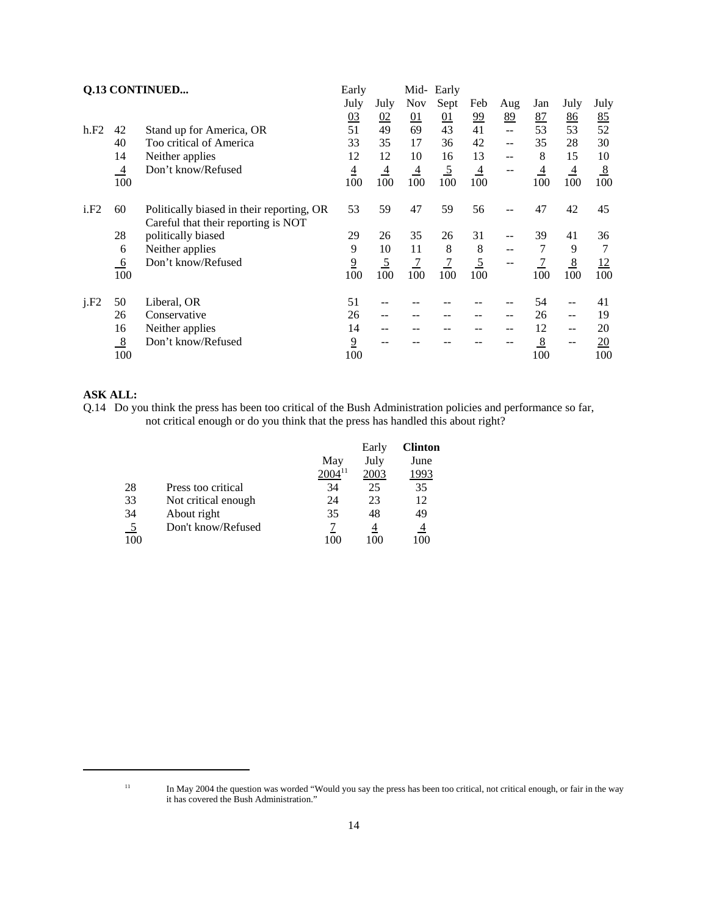|      |                | Q.13 CONTINUED                                                                   | Early           |                |                | Mid- Early     |                |      |                |                |      |
|------|----------------|----------------------------------------------------------------------------------|-----------------|----------------|----------------|----------------|----------------|------|----------------|----------------|------|
|      |                |                                                                                  | July            | July           | <b>Nov</b>     | Sept           | Feb            | Aug  | Jan            | July           | July |
|      |                |                                                                                  | 0 <sub>3</sub>  | 02             | 01             | 01             | <u>99</u>      | 89   | <u>87</u>      | 86             | 85   |
| h.F2 | 42             | Stand up for America, OR                                                         | 51              | 49             | 69             | 43             | 41             | $-$  | 53             | 53             | 52   |
|      | 40             | Too critical of America                                                          | 33              | 35             | 17             | 36             | 42             | --   | 35             | 28             | 30   |
|      | 14             | Neither applies                                                                  | 12              | 12             | 10             | 16             | 13             | $-1$ | 8              | 15             | 10   |
|      | $\overline{4}$ | Don't know/Refused                                                               | $\underline{4}$ | $\overline{4}$ | $\overline{4}$ | $\overline{5}$ | $\overline{4}$ | $-$  | $\overline{4}$ | $\overline{4}$ | 8    |
|      | 100            |                                                                                  | 100             | 100            | 100            | 100            | 100            |      | 100            | 100            | 100  |
| i.F2 | 60             | Politically biased in their reporting, OR<br>Careful that their reporting is NOT | 53              | 59             | 47             | 59             | 56             | --   | 47             | 42             | 45   |
|      | 28             | politically biased                                                               | 29              | 26             | 35             | 26             | 31             | --   | 39             | 41             | 36   |
|      | 6              | Neither applies                                                                  | 9               | 10             | 11             | 8              | 8              | --   | 7              | 9              | 7    |
|      | 6              | Don't know/Refused                                                               | $\overline{9}$  | $\overline{5}$ | $\overline{7}$ | $\overline{7}$ | $\overline{5}$ | --   | $\overline{7}$ | 8              | 12   |
|      | 100            |                                                                                  | 100             | 100            | 100            | 100            | 100            |      | 100            | 100            | 100  |
| j.F2 | 50             | Liberal, OR                                                                      | 51              |                |                |                |                | --   | 54             |                | 41   |
|      | 26             | Conservative                                                                     | 26              | --             | --             | --             |                | --   | 26             | --             | 19   |
|      | 16             | Neither applies                                                                  | 14              | --             | --             |                |                | --   | 12             | $- -$          | 20   |
|      | 8              | Don't know/Refused                                                               | $\overline{9}$  |                |                |                |                |      | 8              |                | 20   |
|      | 100            |                                                                                  | 100             |                |                |                |                |      | 100            |                | 100  |

#### **ASK ALL:**

Q.14 Do you think the press has been too critical of the Bush Administration policies and performance so far, not critical enough or do you think that the press has handled this about right?

|                |                     |             | Early | <b>Clinton</b> |
|----------------|---------------------|-------------|-------|----------------|
|                |                     | May         | July  | June           |
|                |                     | $2004^{11}$ | 2003  | 1993           |
| 28             | Press too critical  | 34          | 25    | 35             |
| 33             | Not critical enough | 24          | 23    | 12             |
| 34             | About right         | 35          | 48    | 49             |
| $\overline{5}$ | Don't know/Refused  |             | 4     |                |
| 100            |                     |             |       |                |

<sup>&</sup>lt;sup>11</sup> In May 2004 the question was worded "Would you say the press has been too critical, not critical enough, or fair in the way it has covered the Bush Administration."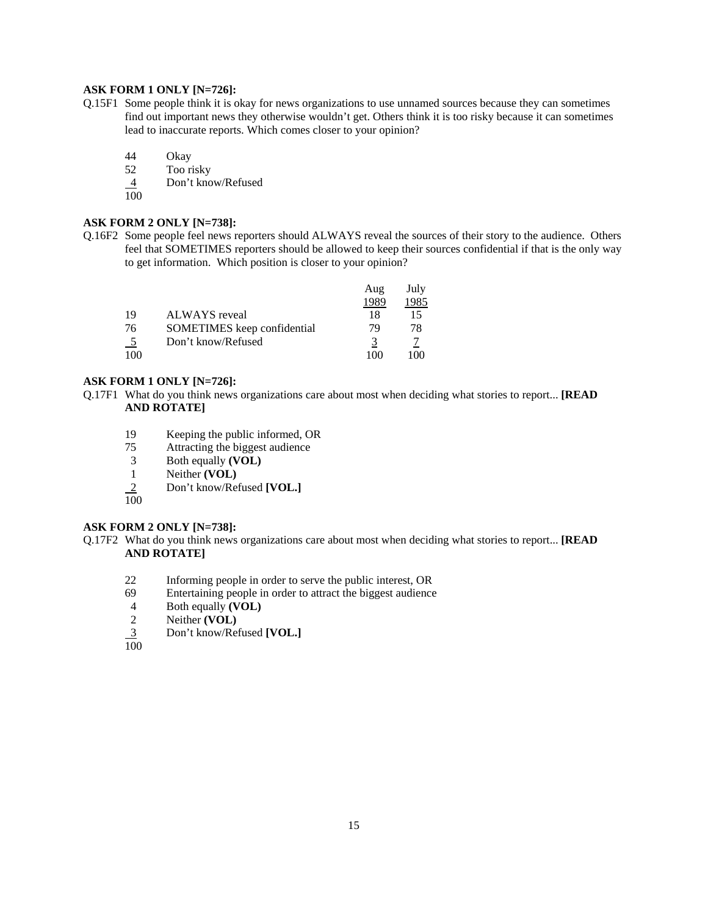#### **ASK FORM 1 ONLY [N=726]:**

- Q.15F1 Some people think it is okay for news organizations to use unnamed sources because they can sometimes find out important news they otherwise wouldn't get. Others think it is too risky because it can sometimes lead to inaccurate reports. Which comes closer to your opinion?
	- 44 Okay
	- 52 Too risky
	- Don't know/Refused
	- $\frac{4}{100}$

#### **ASK FORM 2 ONLY [N=738]:**

Q.16F2 Some people feel news reporters should ALWAYS reveal the sources of their story to the audience. Others feel that SOMETIMES reporters should be allowed to keep their sources confidential if that is the only way to get information. Which position is closer to your opinion?

|     |                             | Aug  | July |
|-----|-----------------------------|------|------|
|     |                             | 1989 | 1985 |
| 19  | ALWAYS reveal               | 18   | 15   |
| 76  | SOMETIMES keep confidential | 79   | 78   |
| - 5 | Don't know/Refused          |      |      |
| 100 |                             | 100  | 100  |

#### **ASK FORM 1 ONLY [N=726]:**

- Q.17F1 What do you think news organizations care about most when deciding what stories to report... **[READ AND ROTATE]**
	- 19 Keeping the public informed, OR<br>
	75 Attracting the biggest audience
	- Attracting the biggest audience
	- 3 Both equally **(VOL)**
	- 1 Neither **(VOL)**
	- 2 Don't know/Refused **[VOL.]**
	- 100

#### **ASK FORM 2 ONLY [N=738]:**

- Q.17F2 What do you think news organizations care about most when deciding what stories to report... **[READ AND ROTATE]**
	- 22 Informing people in order to serve the public interest, OR
	- 69 Entertaining people in order to attract the biggest audience
	- 4 Both equally **(VOL)**
	- 2 Neither **(VOL)**
	- 3 Don't know/Refused **[VOL.]**

 $\overline{100}$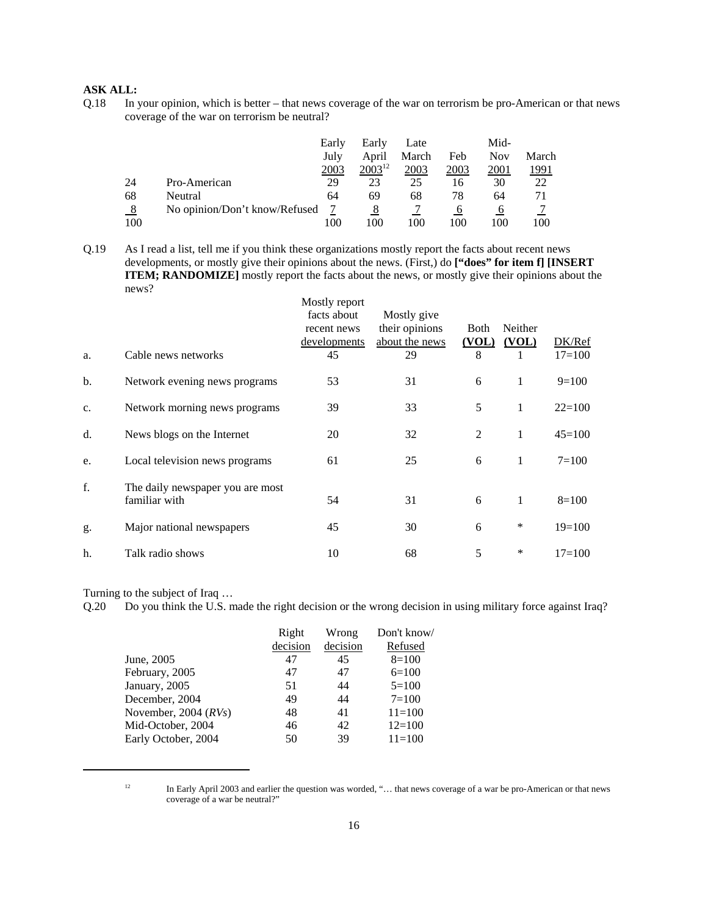#### **ASK ALL:**

Q.18 In your opinion, which is better – that news coverage of the war on terrorism be pro-American or that news coverage of the war on terrorism be neutral?

|         |                               | Early | Early       | Late  |      | Mid- |              |
|---------|-------------------------------|-------|-------------|-------|------|------|--------------|
|         |                               | July  | April       | March | Feb  | Nov  | March        |
|         |                               | 2003  | $2003^{12}$ | 2003  | 2003 | 2001 | <u> 1991</u> |
| 24      | Pro-American                  | 29    | 23          | 25    | 16   | 30   | 22           |
| 68      | Neutral                       | 64    | 69          | 68    | 78   | 64   | 71           |
| $_{.8}$ | No opinion/Don't know/Refused |       | 8           |       |      | O    |              |
| 100     |                               | 100   | 100         | 100   | 100  | 100  | 100          |

Q.19 As I read a list, tell me if you think these organizations mostly report the facts about recent news developments, or mostly give their opinions about the news. (First,) do **["does" for item f] [INSERT ITEM; RANDOMIZE]** mostly report the facts about the news, or mostly give their opinions about the news?

| a. | Cable news networks                               | Mostly report<br>facts about<br>recent news<br><u>developments</u><br>45 | Mostly give<br>their opinions<br>about the news<br>29 | <b>Both</b><br>(VOL)<br>8 | Neither<br>(VOL) | DK/Ref<br>$17 = 100$ |
|----|---------------------------------------------------|--------------------------------------------------------------------------|-------------------------------------------------------|---------------------------|------------------|----------------------|
| b. | Network evening news programs                     | 53                                                                       | 31                                                    | 6                         | 1                | $9=100$              |
| c. | Network morning news programs                     | 39                                                                       | 33                                                    | 5                         | 1                | $22=100$             |
| d. | News blogs on the Internet                        | 20                                                                       | 32                                                    | 2                         | 1                | $45=100$             |
| e. | Local television news programs                    | 61                                                                       | 25                                                    | 6                         | 1                | $7 = 100$            |
| f. | The daily newspaper you are most<br>familiar with | 54                                                                       | 31                                                    | 6                         | 1                | $8=100$              |
| g. | Major national newspapers                         | 45                                                                       | 30                                                    | 6                         | $\ast$           | $19=100$             |
| h. | Talk radio shows                                  | 10                                                                       | 68                                                    | 5                         | ∗                | $17=100$             |

Turning to the subject of Iraq …

Q.20 Do you think the U.S. made the right decision or the wrong decision in using military force against Iraq?

| Right | Wrong                | Don't know/<br>Refused |
|-------|----------------------|------------------------|
|       |                      |                        |
|       |                      | $8=100$                |
|       |                      | $6=100$                |
| 51    | 44                   | $5=100$                |
| 49    | 44                   | $7=100$                |
| 48    | 41                   | $11 = 100$             |
| 46    | 42                   | $12=100$               |
| 50    | 39                   | $11 = 100$             |
|       | decision<br>47<br>47 | decision<br>45<br>47   |

<sup>&</sup>lt;sup>12</sup> In Early April 2003 and earlier the question was worded, "... that news coverage of a war be pro-American or that news coverage of a war be neutral?"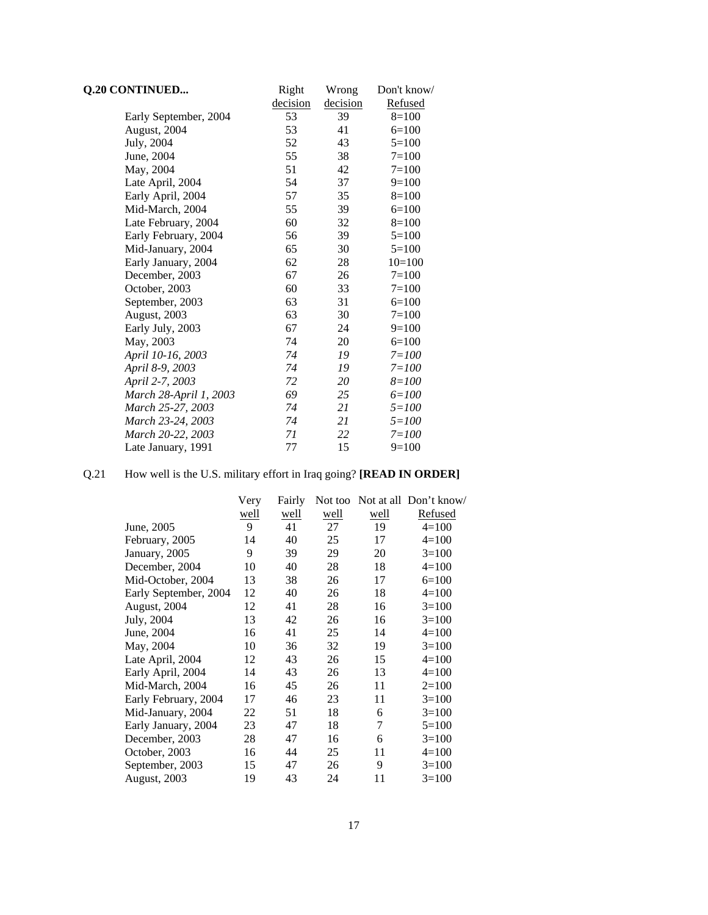| <b>Q.20 CONTINUED</b>  | Right    | Wrong    | Don't know/ |
|------------------------|----------|----------|-------------|
|                        | decision | decision | Refused     |
| Early September, 2004  | 53       | 39       | $8=100$     |
| August, 2004           | 53       | 41       | $6=100$     |
| July, 2004             | 52       | 43       | $5=100$     |
| June, 2004             | 55       | 38       | $7 = 100$   |
| May, 2004              | 51       | 42       | $7 = 100$   |
| Late April, 2004       | 54       | 37       | $9=100$     |
| Early April, 2004      | 57       | 35       | $8=100$     |
| Mid-March, 2004        | 55       | 39       | $6=100$     |
| Late February, 2004    | 60       | 32       | $8=100$     |
| Early February, 2004   | 56       | 39       | $5=100$     |
| Mid-January, 2004      | 65       | 30       | $5=100$     |
| Early January, 2004    | 62       | 28       | $10=100$    |
| December, 2003         | 67       | 26       | $7=100$     |
| October, 2003          | 60       | 33       | $7 = 100$   |
| September, 2003        | 63       | 31       | $6=100$     |
| August, 2003           | 63       | 30       | $7 = 100$   |
| Early July, 2003       | 67       | 24       | $9=100$     |
| May, 2003              | 74       | 20       | $6=100$     |
| April 10-16, 2003      | 74       | 19       | $7 = 100$   |
| April 8-9, 2003        | 74       | 19       | $7 = 100$   |
| April 2-7, 2003        | 72       | 20       | $8 = 100$   |
| March 28-April 1, 2003 | 69       | 25       | $6 = 100$   |
| March 25-27, 2003      | 74       | 21       | $5 = 100$   |
| March 23-24, 2003      | 74       | 21       | $5 = 100$   |
| March 20-22, 2003      | 71       | 22       | $7 = 100$   |
| Late January, 1991     | 77       | 15       | $9=100$     |

## Q.21 How well is the U.S. military effort in Iraq going? **[READ IN ORDER]**

|                       | Very | Fairly |      |      | Not too Not at all Don't know/ |
|-----------------------|------|--------|------|------|--------------------------------|
|                       | well | well   | well | well | Refused                        |
| June, 2005            | 9    | 41     | 27   | 19   | $4=100$                        |
| February, 2005        | 14   | 40     | 25   | 17   | $4=100$                        |
| January, 2005         | 9    | 39     | 29   | 20   | $3=100$                        |
| December, 2004        | 10   | 40     | 28   | 18   | $4=100$                        |
| Mid-October, 2004     | 13   | 38     | 26   | 17   | $6=100$                        |
| Early September, 2004 | 12   | 40     | 26   | 18   | $4=100$                        |
| August, 2004          | 12   | 41     | 28   | 16   | $3=100$                        |
| July, 2004            | 13   | 42     | 26   | 16   | $3=100$                        |
| June, 2004            | 16   | 41     | 25   | 14   | $4=100$                        |
| May, 2004             | 10   | 36     | 32   | 19   | $3=100$                        |
| Late April, 2004      | 12   | 43     | 26   | 15   | $4=100$                        |
| Early April, 2004     | 14   | 43     | 26   | 13   | $4=100$                        |
| Mid-March, 2004       | 16   | 45     | 26   | 11   | $2=100$                        |
| Early February, 2004  | 17   | 46     | 23   | 11   | $3=100$                        |
| Mid-January, 2004     | 22   | 51     | 18   | 6    | $3=100$                        |
| Early January, 2004   | 23   | 47     | 18   | 7    | $5=100$                        |
| December, 2003        | 28   | 47     | 16   | 6    | $3=100$                        |
| October, 2003         | 16   | 44     | 25   | 11   | $4=100$                        |
| September, 2003       | 15   | 47     | 26   | 9    | $3=100$                        |
| <b>August, 2003</b>   | 19   | 43     | 24   | 11   | $3=100$                        |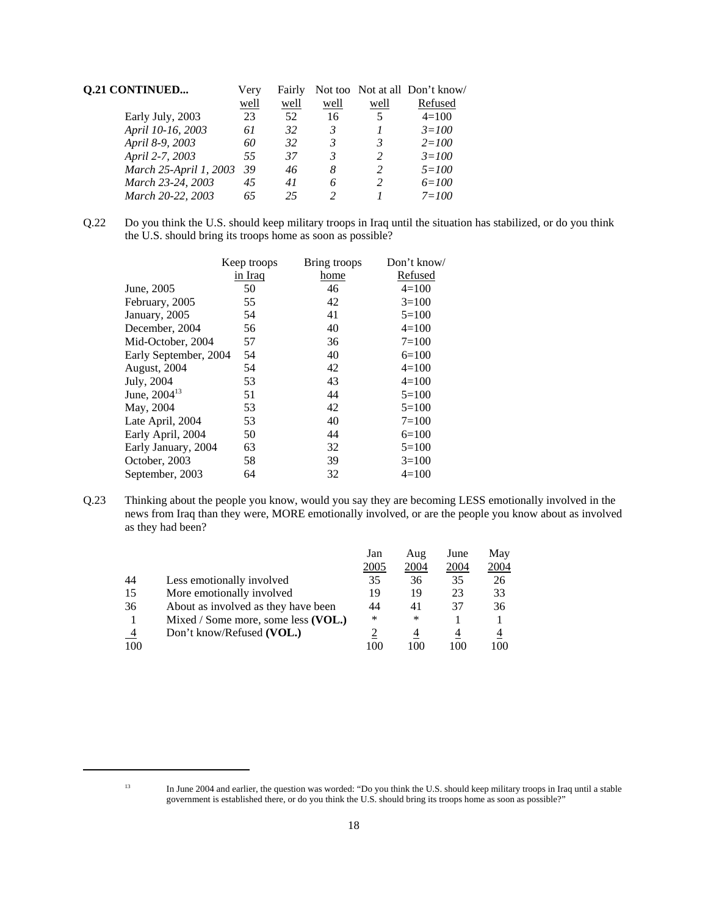| <b>Q.21 CONTINUED</b>  | Very | Fairly |      |                | Not too Not at all Don't know/ |
|------------------------|------|--------|------|----------------|--------------------------------|
|                        | well | well   | well | well           | Refused                        |
| Early July, 2003       | 23   | 52     | 16   | 5              | $4=100$                        |
| April 10-16, 2003      | 61   | 32     | 3    |                | $3 = 100$                      |
| April 8-9, 2003        | 60   | 32     | 3    | 3              | $2 = 100$                      |
| April 2-7, 2003        | 55   | 37     | 3    | $\overline{c}$ | $3 = 100$                      |
| March 25-April 1, 2003 | 39   | 46     | 8    | 2              | $5 = 100$                      |
| March 23-24, 2003      | 45   | 41     | 6    | $\mathfrak{D}$ | $6 = 100$                      |
| March 20-22, 2003      | 65   | 25     | າ    |                | $7 = 100$                      |

Q.22 Do you think the U.S. should keep military troops in Iraq until the situation has stabilized, or do you think the U.S. should bring its troops home as soon as possible?

|                          | Keep troops | Bring troops | Don't know/    |
|--------------------------|-------------|--------------|----------------|
|                          | in Iraq     | home         | <b>Refused</b> |
| June, 2005               | 50          | 46           | $4=100$        |
| February, 2005           | 55          | 42           | $3=100$        |
| January, 2005            | 54          | 41           | $5=100$        |
| December, 2004           | 56          | 40           | $4=100$        |
| Mid-October, 2004        | 57          | 36           | $7 = 100$      |
| Early September, 2004    | 54          | 40           | $6=100$        |
| August, 2004             | 54          | 42           | $4=100$        |
| July, 2004               | 53          | 43           | $4=100$        |
| June, 2004 <sup>13</sup> | 51          | 44           | $5=100$        |
| May, 2004                | 53          | 42           | $5=100$        |
| Late April, 2004         | 53          | 40           | $7 = 100$      |
| Early April, 2004        | 50          | 44           | $6=100$        |
| Early January, 2004      | 63          | 32           | $5=100$        |
| October, 2003            | 58          | 39           | $3=100$        |
| September, 2003          | 64          | 32           | $4=100$        |

Q.23 Thinking about the people you know, would you say they are becoming LESS emotionally involved in the news from Iraq than they were, MORE emotionally involved, or are the people you know about as involved as they had been?

|                |                                     | Jan<br>2005 | Aug<br>2004 | June<br>2004 | May<br>2004 |
|----------------|-------------------------------------|-------------|-------------|--------------|-------------|
| 44             | Less emotionally involved           | 35          | 36          | 35           | 26          |
| 15             | More emotionally involved           | 19          | 19          | 23           | 33          |
| 36             | About as involved as they have been | 44          | 41          | 37           | 36          |
|                | Mixed / Some more, some less (VOL.) | *           | *           |              |             |
| $\overline{4}$ | Don't know/Refused (VOL.)           |             | 4           | 4            | 4           |
| 100            |                                     | 100         | 100         | 100          | 100         |

<sup>&</sup>lt;sup>13</sup> In June 2004 and earlier, the question was worded: "Do you think the U.S. should keep military troops in Iraq until a stable government is established there, or do you think the U.S. should bring its troops home as soon as possible?"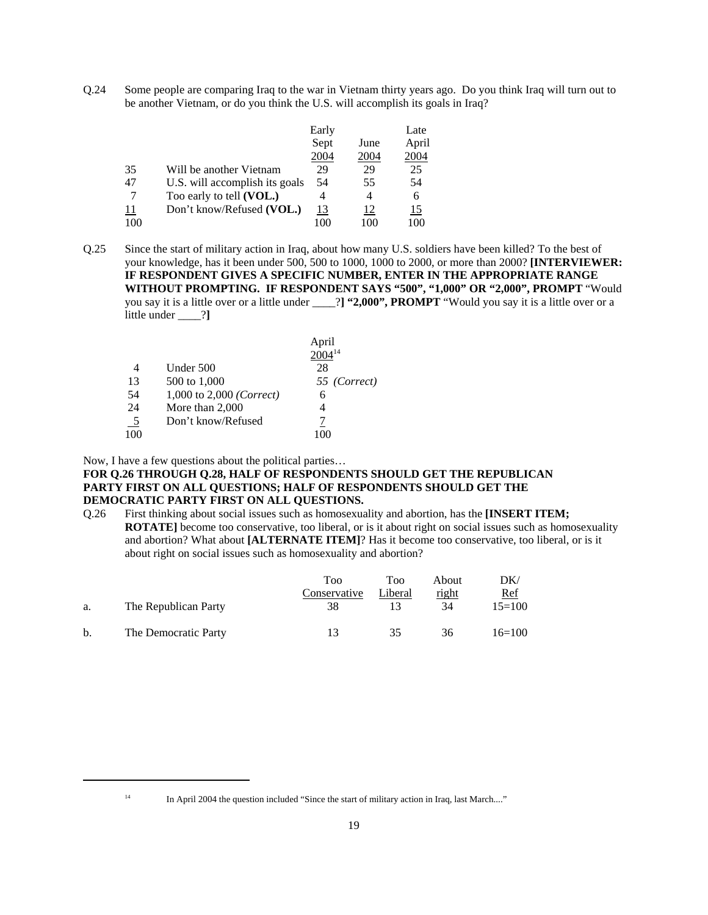Q.24 Some people are comparing Iraq to the war in Vietnam thirty years ago. Do you think Iraq will turn out to be another Vietnam, or do you think the U.S. will accomplish its goals in Iraq?

|     |                                | Early      |      | Late       |
|-----|--------------------------------|------------|------|------------|
|     |                                | Sept       | June | April      |
|     |                                | 2004       | 2004 | 2004       |
| 35  | Will be another Vietnam        | 29         | 29   | 25         |
| 47  | U.S. will accomplish its goals | 54         | 55   | 54         |
|     | Too early to tell (VOL.)       | 4          | 4    | 6          |
| 11  | Don't know/Refused (VOL.)      | <u> 13</u> | 12   | <u> 15</u> |
| 100 |                                | 100        | 100  | 100        |

Q.25 Since the start of military action in Iraq, about how many U.S. soldiers have been killed? To the best of your knowledge, has it been under 500, 500 to 1000, 1000 to 2000, or more than 2000? **[INTERVIEWER: IF RESPONDENT GIVES A SPECIFIC NUMBER, ENTER IN THE APPROPRIATE RANGE WITHOUT PROMPTING. IF RESPONDENT SAYS "500", "1,000" OR "2,000", PROMPT** "Would you say it is a little over or a little under \_\_\_\_?**] "2,000", PROMPT** "Would you say it is a little over or a little under \_\_\_\_?**]** 

|                 |                          | April        |
|-----------------|--------------------------|--------------|
|                 |                          |              |
| 4               | Under 500                | 28           |
| 13              | 500 to 1,000             | 55 (Correct) |
| 54              | 1,000 to 2,000 (Correct) | 6            |
| 24              | More than $2,000$        | 4            |
| $\frac{5}{100}$ | Don't know/Refused       |              |
|                 |                          |              |

Now, I have a few questions about the political parties…

#### **FOR Q.26 THROUGH Q.28, HALF OF RESPONDENTS SHOULD GET THE REPUBLICAN PARTY FIRST ON ALL QUESTIONS; HALF OF RESPONDENTS SHOULD GET THE DEMOCRATIC PARTY FIRST ON ALL QUESTIONS.**

Q.26 First thinking about social issues such as homosexuality and abortion, has the **[INSERT ITEM; ROTATE]** become too conservative, too liberal, or is it about right on social issues such as homosexuality and abortion? What about **[ALTERNATE ITEM]**? Has it become too conservative, too liberal, or is it about right on social issues such as homosexuality and abortion?

|    |                      | Too          | Too     | About | DK/        |
|----|----------------------|--------------|---------|-------|------------|
|    |                      | Conservative | Liberal | right | <u>Ref</u> |
| a. | The Republican Party | 38           |         | 34    | $15=100$   |
| b. | The Democratic Party | 13           | 35      | 36    | $16=100$   |

<sup>&</sup>lt;sup>14</sup> In April 2004 the question included "Since the start of military action in Iraq, last March...."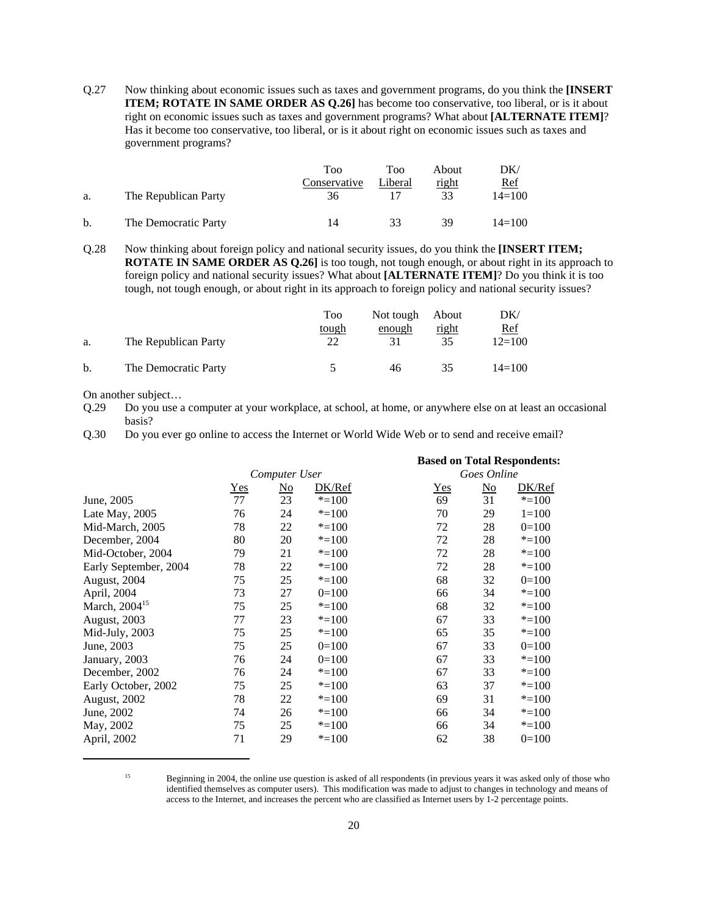Q.27 Now thinking about economic issues such as taxes and government programs, do you think the **[INSERT ITEM; ROTATE IN SAME ORDER AS Q.26]** has become too conservative, too liberal, or is it about right on economic issues such as taxes and government programs? What about **[ALTERNATE ITEM]**? Has it become too conservative, too liberal, or is it about right on economic issues such as taxes and government programs?

|    |                      | Too          | Too     | About | DK/        |
|----|----------------------|--------------|---------|-------|------------|
|    |                      | Conservative | Liberal | right | <u>Ref</u> |
| a. | The Republican Party | 36           |         | 33    | $14 = 100$ |
| b. | The Democratic Party | 1 Л          | 33      | 39    | $14 = 100$ |

Q.28 Now thinking about foreign policy and national security issues, do you think the **[INSERT ITEM; ROTATE IN SAME ORDER AS Q.26**] is too tough, not tough enough, or about right in its approach to foreign policy and national security issues? What about **[ALTERNATE ITEM]**? Do you think it is too tough, not tough enough, or about right in its approach to foreign policy and national security issues?

| a. | The Republican Party | Too<br>tough<br>22 | Not tough About<br>enough | right | DK/<br><u>Ref</u><br>$12=100$ |
|----|----------------------|--------------------|---------------------------|-------|-------------------------------|
| b. | The Democratic Party |                    | 46                        | 35    | $14 = 100$                    |

On another subject…

Q.29 Do you use a computer at your workplace, at school, at home, or anywhere else on at least an occasional basis?

Q.30 Do you ever go online to access the Internet or World Wide Web or to send and receive email?

|                           |            |               |           | <b>Based on Total Respondents:</b> |                           |           |  |
|---------------------------|------------|---------------|-----------|------------------------------------|---------------------------|-----------|--|
|                           |            | Computer User |           |                                    | Goes Online               |           |  |
|                           | <u>Yes</u> | <u>No</u>     | DK/Ref    | $Yes$                              | $\underline{\mathrm{No}}$ | DK/Ref    |  |
| June, 2005                | 77         | 23            | $* = 100$ | 69                                 | 31                        | $* = 100$ |  |
| Late May, 2005            | 76         | 24            | $* = 100$ | 70                                 | 29                        | $1 = 100$ |  |
| Mid-March, 2005           | 78         | 22            | $* = 100$ | 72                                 | 28                        | $0=100$   |  |
| December, 2004            | 80         | 20            | $* = 100$ | 72                                 | 28                        | $* = 100$ |  |
| Mid-October, 2004         | 79         | 21            | $* = 100$ | 72                                 | 28                        | $* = 100$ |  |
| Early September, 2004     | 78         | 22            | $* = 100$ | 72                                 | 28                        | $* = 100$ |  |
| August, 2004              | 75         | 25            | $* = 100$ | 68                                 | 32                        | $0=100$   |  |
| April, 2004               | 73         | 27            | $0=100$   | 66                                 | 34                        | $* = 100$ |  |
| March, 2004 <sup>15</sup> | 75         | 25            | $* = 100$ | 68                                 | 32                        | $* = 100$ |  |
| August, 2003              | 77         | 23            | $* = 100$ | 67                                 | 33                        | $* = 100$ |  |
| Mid-July, 2003            | 75         | 25            | $* = 100$ | 65                                 | 35                        | $* = 100$ |  |
| June, 2003                | 75         | 25            | $0=100$   | 67                                 | 33                        | $0=100$   |  |
| January, 2003             | 76         | 24            | $0=100$   | 67                                 | 33                        | $* = 100$ |  |
| December, 2002            | 76         | 24            | $* = 100$ | 67                                 | 33                        | $* = 100$ |  |
| Early October, 2002       | 75         | 25            | $* = 100$ | 63                                 | 37                        | $* = 100$ |  |
| <b>August, 2002</b>       | 78         | 22            | $* = 100$ | 69                                 | 31                        | $* = 100$ |  |
| June, 2002                | 74         | 26            | $* = 100$ | 66                                 | 34                        | $* = 100$ |  |
| May, 2002                 | 75         | 25            | $* = 100$ | 66                                 | 34                        | $* = 100$ |  |
| April, 2002               | 71         | 29            | $* = 100$ | 62                                 | 38                        | $0=100$   |  |

<sup>&</sup>lt;sup>15</sup> Beginning in 2004, the online use question is asked of all respondents (in previous years it was asked only of those who identified themselves as computer users). This modification was made to adjust to changes in technology and means of access to the Internet, and increases the percent who are classified as Internet users by 1-2 percentage points.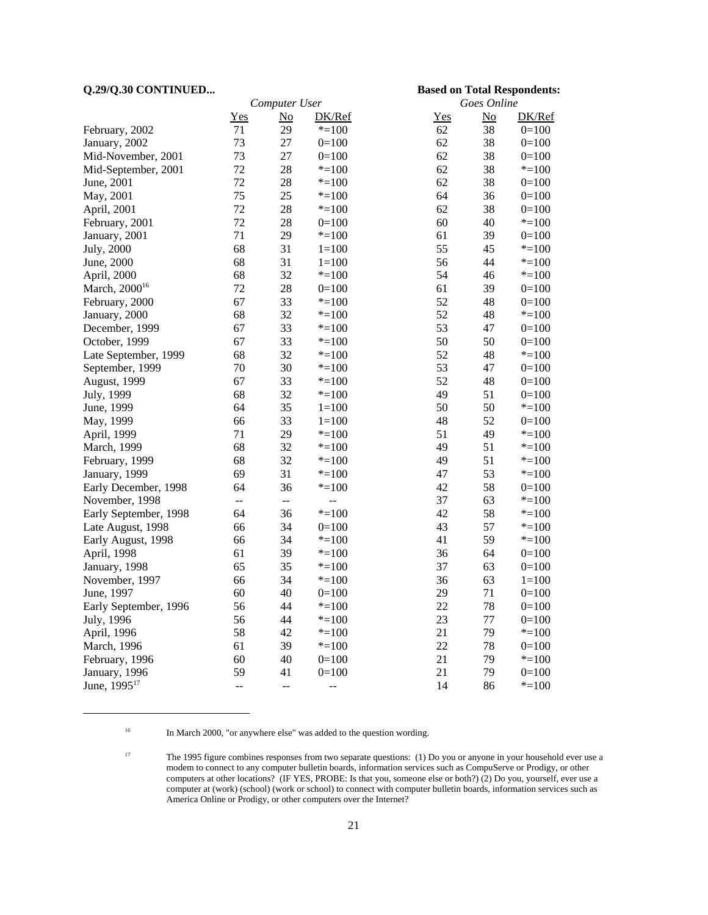#### **Q.29/Q.30 CONTINUED... Based on Total Respondents:**

| Computer User             |                |                          |                | Goes Online |    |           |
|---------------------------|----------------|--------------------------|----------------|-------------|----|-----------|
|                           | Yes            | $\overline{\text{No}}$   | DK/Ref         | Yes         | No | DK/Ref    |
| February, 2002            | 71             | 29                       | $* = 100$      | 62          | 38 | $0=100$   |
| January, 2002             | 73             | 27                       | $0=100$        | 62          | 38 | $0=100$   |
| Mid-November, 2001        | 73             | 27                       | $0=100$        | 62          | 38 | $0=100$   |
| Mid-September, 2001       | 72             | 28                       | $* = 100$      | 62          | 38 | $* = 100$ |
| June, 2001                | 72             | 28                       | $* = 100$      | 62          | 38 | $0=100$   |
| May, 2001                 | 75             | 25                       | $* = 100$      | 64          | 36 | $0=100$   |
| April, 2001               | 72             | 28                       | $* = 100$      | 62          | 38 | $0=100$   |
| February, 2001            | 72             | 28                       | $0=100$        | 60          | 40 | $* = 100$ |
| January, 2001             | 71             | 29                       | $* = 100$      | 61          | 39 | $0=100$   |
| July, 2000                | 68             | 31                       | $1 = 100$      | 55          | 45 | $* = 100$ |
| June, 2000                | 68             | 31                       | $1 = 100$      | 56          | 44 | $* = 100$ |
| April, 2000               | 68             | 32                       | $* = 100$      | 54          | 46 | $* = 100$ |
| March, 2000 <sup>16</sup> | 72             | 28                       | $0=100$        | 61          | 39 | $0=100$   |
| February, 2000            | 67             | 33                       | $* = 100$      | 52          | 48 | $0=100$   |
| January, 2000             | 68             | 32                       | $* = 100$      | 52          | 48 | $* = 100$ |
| December, 1999            | 67             | 33                       | $* = 100$      | 53          | 47 | $0=100$   |
| October, 1999             | 67             | 33                       | $* = 100$      | 50          | 50 | $0=100$   |
| Late September, 1999      | 68             | 32                       | $* = 100$      | 52          | 48 | $* = 100$ |
| September, 1999           | 70             | 30                       | $* = 100$      | 53          | 47 | $0=100$   |
| August, 1999              | 67             | 33                       | $* = 100$      | 52          | 48 | $0=100$   |
| July, 1999                | 68             | 32                       | $* = 100$      | 49          | 51 | $0=100$   |
| June, 1999                | 64             | 35                       | $1 = 100$      | 50          | 50 | $* = 100$ |
| May, 1999                 | 66             | 33                       | $1 = 100$      | 48          | 52 | $0=100$   |
| April, 1999               | 71             | 29                       | $* = 100$      | 51          | 49 | $* = 100$ |
| March, 1999               | 68             | 32                       | $* = 100$      | 49          | 51 | $* = 100$ |
| February, 1999            | 68             | 32                       | $* = 100$      | 49          | 51 | $* = 100$ |
| January, 1999             | 69             | 31                       | $* = 100$      | 47          | 53 | $* = 100$ |
| Early December, 1998      | 64             | 36                       | $* = 100$      | 42          | 58 | $0=100$   |
| November, 1998            | $\overline{a}$ | $\overline{\phantom{a}}$ | $\overline{a}$ | 37          | 63 | $* = 100$ |
| Early September, 1998     | 64             | 36                       | $* = 100$      | 42          | 58 | $* = 100$ |
| Late August, 1998         | 66             | 34                       | $0=100$        | 43          | 57 | $* = 100$ |
| Early August, 1998        | 66             | 34                       | $* = 100$      | 41          | 59 | $* = 100$ |
| April, 1998               | 61             | 39                       | $* = 100$      | 36          | 64 | $0=100$   |
| January, 1998             | 65             | 35                       | $* = 100$      | 37          | 63 | $0=100$   |
| November, 1997            | 66             | 34                       | $* = 100$      | 36          | 63 | $1 = 100$ |
| June, 1997                | 60             | 40                       | $0=100$        | 29          | 71 | $0=100$   |
| Early September, 1996     | 56             | 44                       | $* = 100$      | 22          | 78 | $0=100$   |
| July, 1996                | 56             | 44                       | $* = 100$      | 23          | 77 | $0=100$   |
| April, 1996               | 58             | 42                       | $* = 100$      | 21          | 79 | $* = 100$ |
| March, 1996               | 61             | 39                       | $* = 100$      | 22          | 78 | $0=100$   |
| February, 1996            | 60             | 40                       | $0=100$        | 21          | 79 | $* = 100$ |
| January, 1996             | 59             | 41                       | $0=100$        | 21          | 79 | $0=100$   |
| June, 1995 <sup>17</sup>  | $\overline{a}$ | $\overline{a}$           | $\overline{a}$ | 14          | 86 | $* = 100$ |

<sup>16</sup> In March 2000, "or anywhere else" was added to the question wording.

<sup>&</sup>lt;sup>17</sup> The 1995 figure combines responses from two separate questions: (1) Do you or anyone in your household ever use a modem to connect to any computer bulletin boards, information services such as CompuServe or Prodigy, or other computers at other locations? (IF YES, PROBE: Is that you, someone else or both?) (2) Do you, yourself, ever use a computer at (work) (school) (work or school) to connect with computer bulletin boards, information services such as America Online or Prodigy, or other computers over the Internet?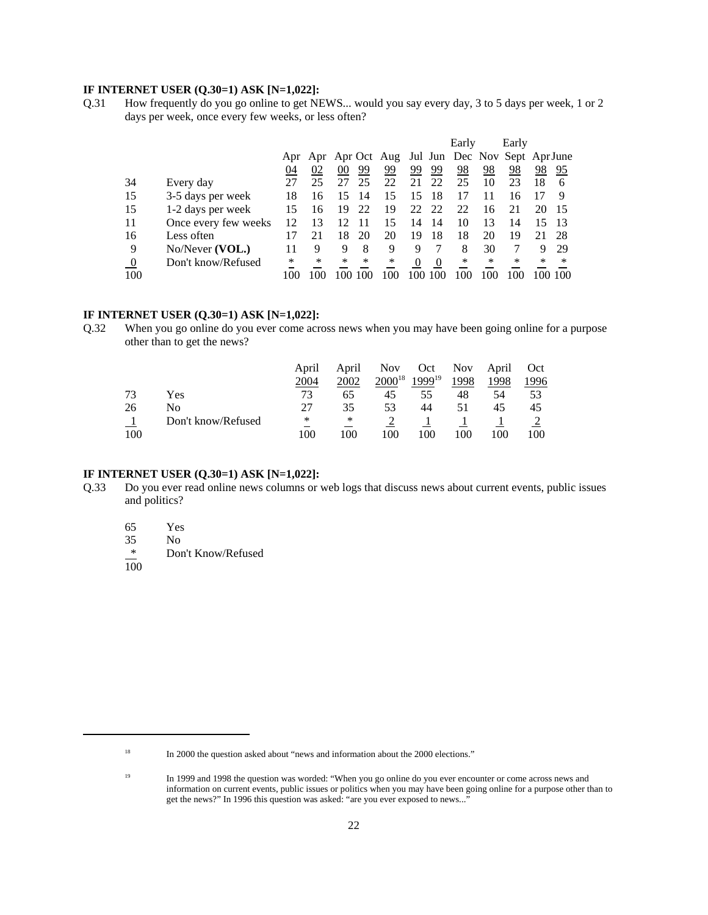#### **IF INTERNET USER (Q.30=1) ASK [N=1,022]:**

Q.31 How frequently do you go online to get NEWS... would you say every day, 3 to 5 days per week, 1 or 2 days per week, once every few weeks, or less often?

|          |                      |    |    |        |    |                                                   |          |     | Early |    | Early  |     |     |
|----------|----------------------|----|----|--------|----|---------------------------------------------------|----------|-----|-------|----|--------|-----|-----|
|          |                      |    |    |        |    | Apr Apr Apr Oct Aug Jul Jun Dec Nov Sept Apr June |          |     |       |    |        |     |     |
|          |                      | 04 | 02 | $00\,$ | 99 | 99                                                | 99       | 99  | 98    | 98 | 98     | 98  | 95  |
| 34       | Every day            | 27 | 25 |        | 25 | 22                                                | 21       | 22  | 25    | 10 | 23     | 18  | 6   |
| 15       | 3-5 days per week    | 18 | 16 |        | 14 | 15                                                | 15       | 18  | 17    |    | 16     |     |     |
| 15       | 1-2 days per week    | 15 | 16 | 19     | 22 | 19                                                | 22       | -22 | 22    | 16 |        | 20  |     |
| 11       | Once every few weeks | 12 | 13 |        | 11 | 15                                                | 14       | 14  | 10    | 13 | 14     |     | 13  |
| 16       | Less often           |    | 21 | 18     | 20 | 20                                                | 19       | 18  | 18    | 20 | 19     |     | 28  |
| 9        | No/Never (VOL.)      | 11 | 9  | 9      | 8  | 9                                                 | 9        |     | 8     | 30 |        | 9   | 29  |
| $\bf{0}$ | Don't know/Refused   | *  | *  | *      | ∗  | ∗                                                 | $\theta$ |     | ∗     | ∗  | $\ast$ | ∗   | ∗   |
| 100      |                      |    |    |        |    | + UO                                              | 100      | 100 | 1 O O |    | 100    | 100 | 100 |

#### **IF INTERNET USER (Q.30=1) ASK [N=1,022]:**

Q.32 When you go online do you ever come across news when you may have been going online for a purpose other than to get the news?

|     |                    | April | April | <b>Nov</b>  | Oct                | <b>Nov</b> | April | Oct  |
|-----|--------------------|-------|-------|-------------|--------------------|------------|-------|------|
|     |                    | 2004  | 2002  | $2000^{18}$ | 1999 <sup>19</sup> | 1998       | 1998  | 1996 |
| 73  | Yes                | 73    | 65    | 45          | 55                 | 48         | 54    | 53   |
| 26  | No                 | 27    | 35    | 53          | 44                 | 51         | 45    | 45   |
|     | Don't know/Refused | *     | ∗     |             |                    |            |       |      |
| 100 |                    | 100   | 100   | 100         | 100                | 100        | 100   | 100  |

#### **IF INTERNET USER (Q.30=1) ASK [N=1,022]:**

- Q.33 Do you ever read online news columns or web logs that discuss news about current events, public issues and politics?
	- 65 Yes

 $\frac{35}{*}$  No

Don't Know/Refused

 $\overline{100}$ 

<sup>&</sup>lt;sup>18</sup> In 2000 the question asked about "news and information about the 2000 elections."

<sup>&</sup>lt;sup>19</sup> In 1999 and 1998 the question was worded: "When you go online do you ever encounter or come across news and information on current events, public issues or politics when you may have been going online for a purpose other than to get the news?" In 1996 this question was asked: "are you ever exposed to news..."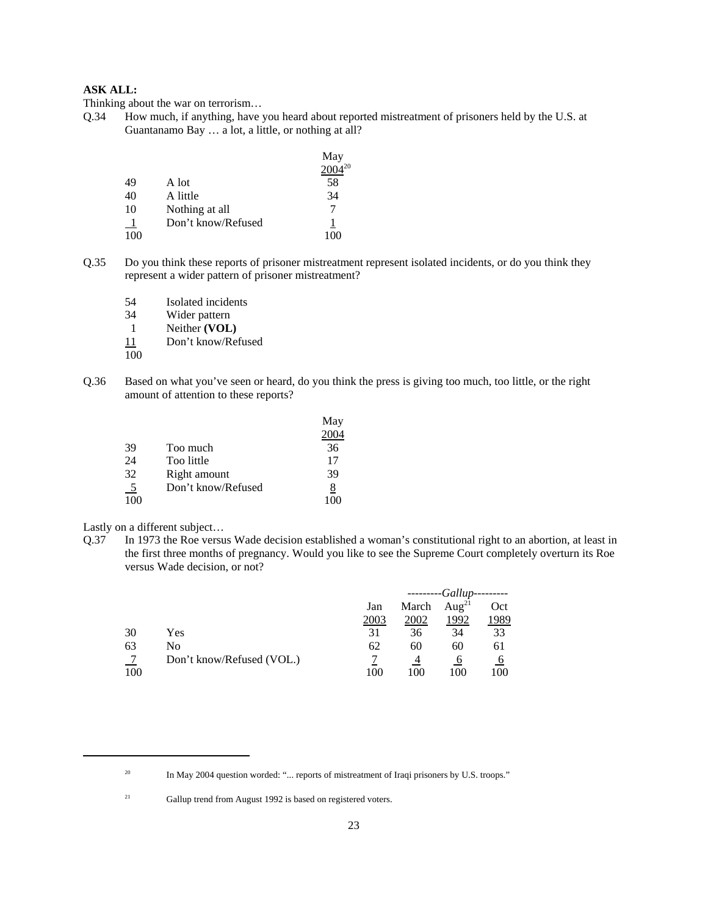#### **ASK ALL:**

Thinking about the war on terrorism…

Q.34 How much, if anything, have you heard about reported mistreatment of prisoners held by the U.S. at Guantanamo Bay … a lot, a little, or nothing at all?

|     |                    | May         |
|-----|--------------------|-------------|
|     |                    | $2004^{20}$ |
| 49  | A lot              | 58          |
| 40  | A little           | 34          |
| 10  | Nothing at all     |             |
|     | Don't know/Refused |             |
| 100 |                    | 100         |

- Q.35 Do you think these reports of prisoner mistreatment represent isolated incidents, or do you think they represent a wider pattern of prisoner mistreatment?
	- 54 Isolated incidents
	- 34 Wider pattern
	- 1 Neither **(VOL)**
	- 11 Don't know/Refused
	- 100
- Q.36 Based on what you've seen or heard, do you think the press is giving too much, too little, or the right amount of attention to these reports?

|                |                    | May<br>2004 |
|----------------|--------------------|-------------|
| 39             | Too much           | 36          |
| 24             | Too little         | 17          |
| 32             | Right amount       | 39          |
| $\overline{5}$ | Don't know/Refused | 8           |
| 100            |                    |             |

Lastly on a different subject…

Q.37 In 1973 the Roe versus Wade decision established a woman's constitutional right to an abortion, at least in the first three months of pregnancy. Would you like to see the Supreme Court completely overturn its Roe versus Wade decision, or not?

|     |                           |      | -Gallup |                   |      |  |
|-----|---------------------------|------|---------|-------------------|------|--|
|     |                           | Jan  | March   | Aug <sup>21</sup> | Oct  |  |
|     |                           | 2003 | 2002    | 1992              | 1989 |  |
| 30  | Yes                       | 31   | 36      | 34                | 33   |  |
| 63  | No                        | 62   | 60      | 60                | 61   |  |
|     | Don't know/Refused (VOL.) |      |         | O                 | O    |  |
| 100 |                           | 100  | 100     | 100               | 100  |  |

<sup>&</sup>lt;sup>20</sup> In May 2004 question worded: "... reports of mistreatment of Iraqi prisoners by U.S. troops."

<sup>&</sup>lt;sup>21</sup> Gallup trend from August 1992 is based on registered voters.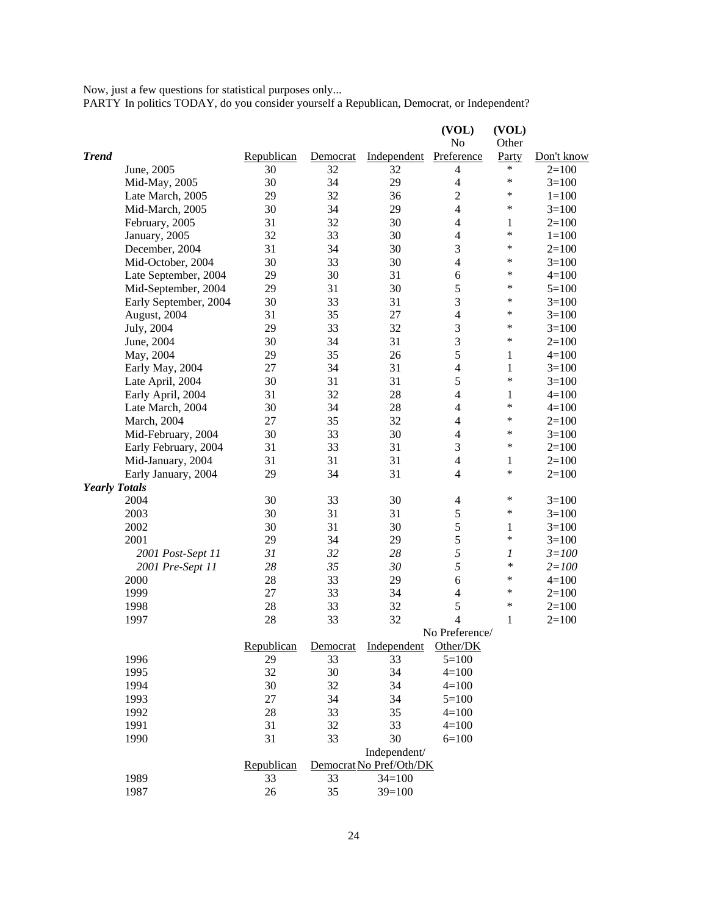Now, just a few questions for statistical purposes only...

PARTY In politics TODAY, do you consider yourself a Republican, Democrat, or Independent?

|                      |                       |            |          |                         | (VOL)          | (VOL)        |            |
|----------------------|-----------------------|------------|----------|-------------------------|----------------|--------------|------------|
|                      |                       |            |          |                         | No             | Other        |            |
| <b>Trend</b>         |                       | Republican | Democrat | Independent             | Preference     | Party        | Don't know |
|                      | June, 2005            | 30         | 32       | 32                      | $\overline{4}$ | $\ast$       | $2=100$    |
|                      | Mid-May, 2005         | 30         | 34       | 29                      | $\overline{4}$ | *            | $3=100$    |
|                      | Late March, 2005      | 29         | 32       | 36                      | $\overline{2}$ | *            | $1 = 100$  |
|                      | Mid-March, 2005       | 30         | 34       | 29                      | $\overline{4}$ | *            | $3=100$    |
|                      | February, 2005        | 31         | 32       | 30                      | $\overline{4}$ | $\mathbf{1}$ | $2=100$    |
|                      | January, 2005         | 32         | 33       | 30                      | $\overline{4}$ | *            | $1 = 100$  |
|                      | December, 2004        | 31         | 34       | 30                      | 3              | *            | $2=100$    |
|                      | Mid-October, 2004     | 30         | 33       | 30                      | $\overline{4}$ | *            | $3=100$    |
|                      | Late September, 2004  | 29         | 30       | 31                      | 6              | *            | $4 = 100$  |
|                      | Mid-September, 2004   | 29         | 31       | 30                      | 5              | *            | $5=100$    |
|                      | Early September, 2004 | 30         | 33       | 31                      | 3              | *            | $3=100$    |
|                      | August, 2004          | 31         | 35       | 27                      | $\overline{4}$ | *            | $3=100$    |
|                      | July, 2004            | 29         | 33       | 32                      | 3              | *            | $3=100$    |
|                      | June, 2004            | 30         | 34       | 31                      | 3              | $\ast$       | $2=100$    |
|                      | May, 2004             | 29         | 35       | 26                      | 5              | 1            | $4=100$    |
|                      | Early May, 2004       | 27         | 34       | 31                      | $\overline{4}$ | $\mathbf{1}$ | $3=100$    |
|                      | Late April, 2004      | 30         | 31       | 31                      | 5              | *            | $3=100$    |
|                      | Early April, 2004     | 31         | 32       | 28                      | $\overline{4}$ | $\mathbf{1}$ | $4=100$    |
|                      | Late March, 2004      | 30         | 34       | 28                      | $\overline{4}$ | *            | $4=100$    |
|                      | March, 2004           | 27         | 35       | 32                      | $\overline{4}$ | *            | $2=100$    |
|                      | Mid-February, 2004    | 30         | 33       | 30                      | $\overline{4}$ | *            | $3=100$    |
|                      | Early February, 2004  | 31         | 33       | 31                      | 3              | $\ast$       | $2=100$    |
|                      | Mid-January, 2004     | 31         | 31       | 31                      | $\overline{4}$ | 1            | $2=100$    |
|                      | Early January, 2004   | 29         | 34       | 31                      | $\overline{4}$ | $\ast$       | $2=100$    |
| <b>Yearly Totals</b> |                       |            |          |                         |                |              |            |
|                      | 2004                  | 30         | 33       | 30                      | $\overline{4}$ | *            | $3=100$    |
|                      | 2003                  | 30         | 31       | 31                      | 5              | $\ast$       | $3=100$    |
|                      | 2002                  | 30         | 31       | 30                      | 5              | $\mathbf{1}$ | $3=100$    |
|                      | 2001                  | 29         | 34       | 29                      | 5              | $\ast$       | $3=100$    |
|                      | 2001 Post-Sept 11     | 31         | 32       | 28                      | 5              | 1            | $3 = 100$  |
|                      | 2001 Pre-Sept 11      | 28         | 35       | 30                      | 5              | $\ast$       | $2 = 100$  |
|                      | 2000                  | 28         | 33       | 29                      | 6              | *            | $4=100$    |
|                      | 1999                  | 27         | 33       | 34                      | $\overline{4}$ | *            | $2=100$    |
|                      | 1998                  | 28         | 33       | 32                      | 5              | *            | $2=100$    |
|                      | 1997                  | 28         | 33       | 32                      | 4              | 1            | $2=100$    |
|                      |                       |            |          |                         | No Preference/ |              |            |
|                      |                       | Republican | Democrat | Independent             | Other/DK       |              |            |
|                      | 1996                  | 29         | 33       | 33                      | $5=100$        |              |            |
|                      | 1995                  | 32         | 30       | 34                      | $4 = 100$      |              |            |
|                      | 1994                  | 30         | 32       | 34                      | $4 = 100$      |              |            |
|                      | 1993                  | $27\,$     | 34       | 34                      | $5=100$        |              |            |
|                      | 1992                  | 28         | 33       | 35                      | $4 = 100$      |              |            |
|                      | 1991                  | 31         | 32       | 33                      | $4 = 100$      |              |            |
|                      | 1990                  | 31         | 33       | 30                      | $6=100$        |              |            |
|                      |                       |            |          | Independent/            |                |              |            |
|                      |                       | Republican |          | Democrat No Pref/Oth/DK |                |              |            |
|                      | 1989                  | 33         | 33       | $34=100$                |                |              |            |
|                      | 1987                  | 26         | 35       | $39=100$                |                |              |            |
|                      |                       |            |          |                         |                |              |            |